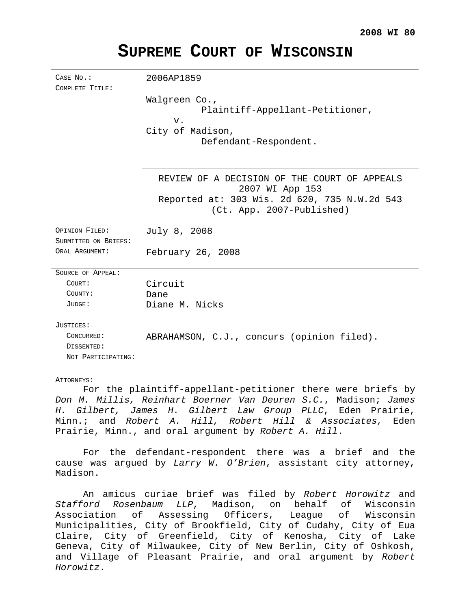| CASE No.:                              | 2006AP1859                                                                                                                                   |
|----------------------------------------|----------------------------------------------------------------------------------------------------------------------------------------------|
| COMPLETE TITLE:                        | Walgreen Co.,<br>Plaintiff-Appellant-Petitioner,<br>V.<br>City of Madison,<br>Defendant-Respondent.                                          |
|                                        | REVIEW OF A DECISION OF THE COURT OF APPEALS<br>2007 WI App 153<br>Reported at: 303 Wis. 2d 620, 735 N.W.2d 543<br>(Ct. App. 2007-Published) |
| OPINION FILED:                         | July 8, 2008                                                                                                                                 |
| SUBMITTED ON BRIEFS:<br>ORAL ARGUMENT: | February 26, 2008                                                                                                                            |
| SOURCE OF APPEAL:                      |                                                                                                                                              |
| COURT:                                 | Circuit                                                                                                                                      |
| COUNTY:                                | Dane                                                                                                                                         |
| JUDGE:                                 | Diane M. Nicks                                                                                                                               |
| JUSTICES:                              |                                                                                                                                              |
| CONCURRED:                             | ABRAHAMSON, C.J., concurs (opinion filed).                                                                                                   |
| DISSENTED:                             |                                                                                                                                              |
| NOT PARTICIPATING:                     |                                                                                                                                              |
| ATTORNEYS:                             |                                                                                                                                              |

# **SUPREME COURT OF WISCONSIN**

For the plaintiff-appellant-petitioner there were briefs by Don M. Millis, Reinhart Boerner Van Deuren S.C., Madison; James H. Gilbert, James H. Gilbert Law Group PLLC, Eden Prairie, Minn.; and Robert A. Hill, Robert Hill & Associates, Eden Prairie, Minn., and oral argument by Robert A. Hill.

For the defendant-respondent there was a brief and the cause was argued by Larry W. O'Brien, assistant city attorney, Madison.

An amicus curiae brief was filed by Robert Horowitz and Stafford Rosenbaum LLP, Madison, on behalf of Wisconsin Association of Assessing Officers, League of Wisconsin Municipalities, City of Brookfield, City of Cudahy, City of Eua Claire, City of Greenfield, City of Kenosha, City of Lake Geneva, City of Milwaukee, City of New Berlin, City of Oshkosh, and Village of Pleasant Prairie, and oral argument by Robert Horowitz.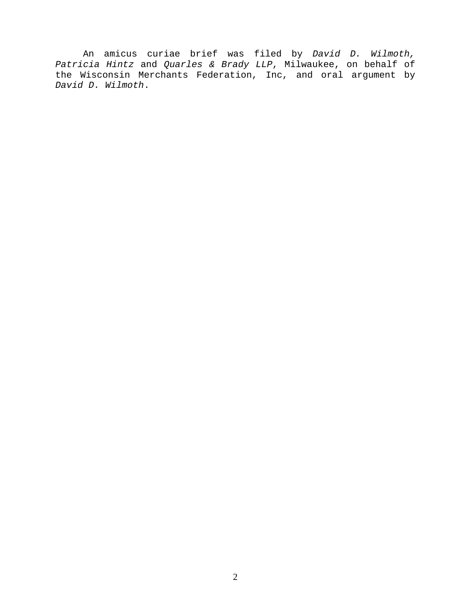An amicus curiae brief was filed by David D. Wilmoth, Patricia Hintz and Quarles & Brady LLP, Milwaukee, on behalf of the Wisconsin Merchants Federation, Inc, and oral argument by David D. Wilmoth.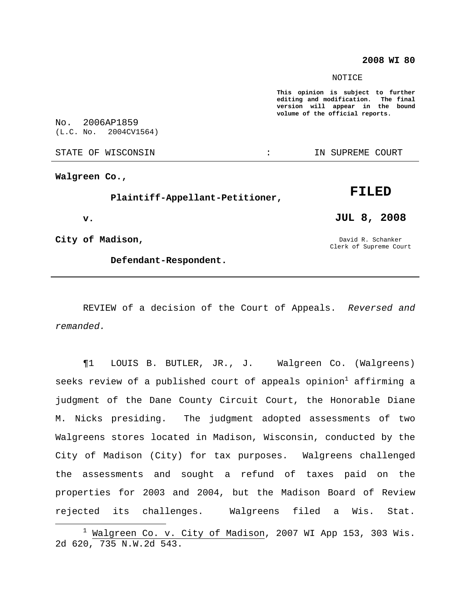### **2008 WI 80**

### NOTICE

**This opinion is subject to further editing and modification. The final version will appear in the bound volume of the official reports.**

No. 2006AP1859 (L.C. No. 2004CV1564)

STATE OF WISCONSIN THE RESERVE STATE OF WISCONSIN STATE OF THE SUPREME COURT

**Walgreen Co.,**

**Plaintiff-Appellant-Petitioner,**

**v.**

**City of Madison,**

**Defendant-Respondent.**

David R. Schanker

**JUL 8, 2008**

**FILED**

Clerk of Supreme Court

REVIEW of a decision of the Court of Appeals. Reversed and remanded.

¶1 LOUIS B. BUTLER, JR., J. Walgreen Co. (Walgreens) seeks review of a published court of appeals opinion $^1$  affirming a judgment of the Dane County Circuit Court, the Honorable Diane M. Nicks presiding. The judgment adopted assessments of two Walgreens stores located in Madison, Wisconsin, conducted by the City of Madison (City) for tax purposes. Walgreens challenged the assessments and sought a refund of taxes paid on the properties for 2003 and 2004, but the Madison Board of Review rejected its challenges. Walgreens filed a Wis. Stat.

 $1$  Walgreen Co. v. City of Madison, 2007 WI App 153, 303 Wis. 2d 620, 735 N.W.2d 543.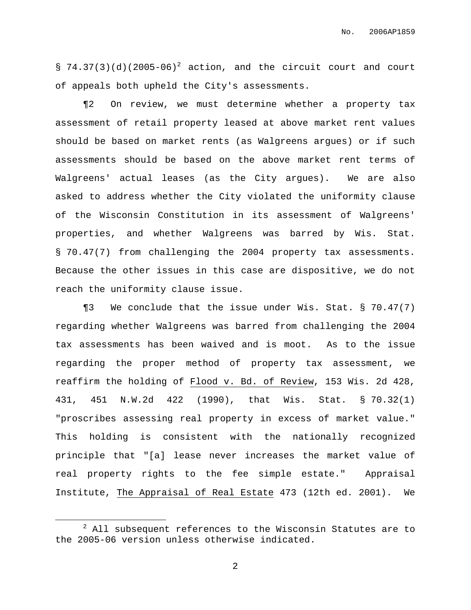§  $74.37(3)(d)(2005-06)^2$  action, and the circuit court and court of appeals both upheld the City's assessments.

¶2 On review, we must determine whether a property tax assessment of retail property leased at above market rent values should be based on market rents (as Walgreens argues) or if such assessments should be based on the above market rent terms of Walgreens' actual leases (as the City argues). We are also asked to address whether the City violated the uniformity clause of the Wisconsin Constitution in its assessment of Walgreens' properties, and whether Walgreens was barred by Wis. Stat. § 70.47(7) from challenging the 2004 property tax assessments. Because the other issues in this case are dispositive, we do not reach the uniformity clause issue.

¶3 We conclude that the issue under Wis. Stat. § 70.47(7) regarding whether Walgreens was barred from challenging the 2004 tax assessments has been waived and is moot. As to the issue regarding the proper method of property tax assessment, we reaffirm the holding of Flood v. Bd. of Review, 153 Wis. 2d 428, 431, 451 N.W.2d 422 (1990), that Wis. Stat. § 70.32(1) "proscribes assessing real property in excess of market value." This holding is consistent with the nationally recognized principle that "[a] lease never increases the market value of real property rights to the fee simple estate." Appraisal Institute, The Appraisal of Real Estate 473 (12th ed. 2001). We

 $2$  All subsequent references to the Wisconsin Statutes are to the 2005-06 version unless otherwise indicated.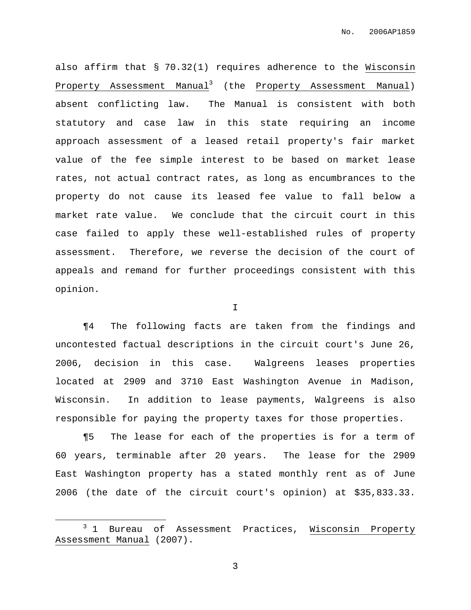also affirm that § 70.32(1) requires adherence to the Wisconsin Property Assessment Manual<sup>3</sup> (the Property Assessment Manual) absent conflicting law. The Manual is consistent with both statutory and case law in this state requiring an income approach assessment of a leased retail property's fair market value of the fee simple interest to be based on market lease rates, not actual contract rates, as long as encumbrances to the property do not cause its leased fee value to fall below a market rate value. We conclude that the circuit court in this case failed to apply these well-established rules of property assessment. Therefore, we reverse the decision of the court of appeals and remand for further proceedings consistent with this opinion.

I

¶4 The following facts are taken from the findings and uncontested factual descriptions in the circuit court's June 26, 2006, decision in this case. Walgreens leases properties located at 2909 and 3710 East Washington Avenue in Madison, Wisconsin. In addition to lease payments, Walgreens is also responsible for paying the property taxes for those properties.

¶5 The lease for each of the properties is for a term of 60 years, terminable after 20 years. The lease for the 2909 East Washington property has a stated monthly rent as of June 2006 (the date of the circuit court's opinion) at \$35,833.33.

<sup>&</sup>lt;sup>3</sup> 1 Bureau of Assessment Practices, Wisconsin Property Assessment Manual (2007).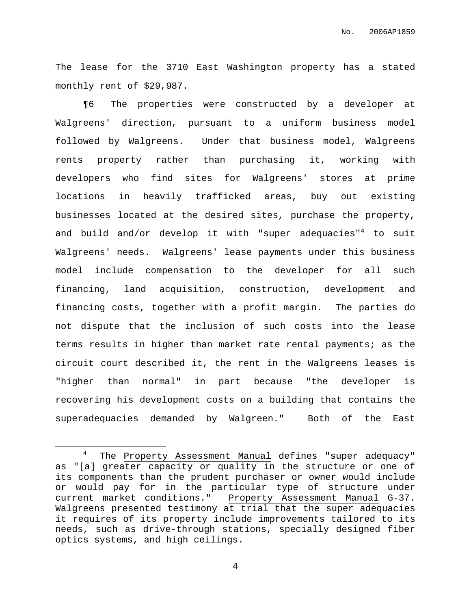The lease for the 3710 East Washington property has a stated monthly rent of \$29,987.

¶6 The properties were constructed by a developer at Walgreens' direction, pursuant to a uniform business model followed by Walgreens. Under that business model, Walgreens rents property rather than purchasing it, working with developers who find sites for Walgreens' stores at prime locations in heavily trafficked areas, buy out existing businesses located at the desired sites, purchase the property, and build and/or develop it with "super adequacies"<sup>4</sup> to suit Walgreens' needs. Walgreens' lease payments under this business model include compensation to the developer for all such financing, land acquisition, construction, development and financing costs, together with a profit margin. The parties do not dispute that the inclusion of such costs into the lease terms results in higher than market rate rental payments; as the circuit court described it, the rent in the Walgreens leases is "higher than normal" in part because "the developer is recovering his development costs on a building that contains the superadequacies demanded by Walgreen." Both of the East

<sup>4</sup> The Property Assessment Manual defines "super adequacy" as "[a] greater capacity or quality in the structure or one of its components than the prudent purchaser or owner would include or would pay for in the particular type of structure under current market conditions." Property Assessment Manual G-37. Walgreens presented testimony at trial that the super adequacies it requires of its property include improvements tailored to its needs, such as drive-through stations, specially designed fiber optics systems, and high ceilings.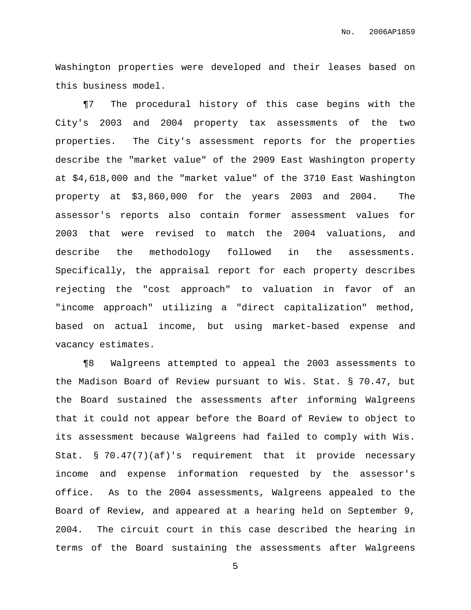Washington properties were developed and their leases based on this business model.

¶7 The procedural history of this case begins with the City's 2003 and 2004 property tax assessments of the two properties. The City's assessment reports for the properties describe the "market value" of the 2909 East Washington property at \$4,618,000 and the "market value" of the 3710 East Washington property at \$3,860,000 for the years 2003 and 2004. The assessor's reports also contain former assessment values for 2003 that were revised to match the 2004 valuations, and describe the methodology followed in the assessments. Specifically, the appraisal report for each property describes rejecting the "cost approach" to valuation in favor of an "income approach" utilizing a "direct capitalization" method, based on actual income, but using market-based expense and vacancy estimates.

¶8 Walgreens attempted to appeal the 2003 assessments to the Madison Board of Review pursuant to Wis. Stat. § 70.47, but the Board sustained the assessments after informing Walgreens that it could not appear before the Board of Review to object to its assessment because Walgreens had failed to comply with Wis. Stat. § 70.47(7)(af)'s requirement that it provide necessary income and expense information requested by the assessor's office. As to the 2004 assessments, Walgreens appealed to the Board of Review, and appeared at a hearing held on September 9, 2004. The circuit court in this case described the hearing in terms of the Board sustaining the assessments after Walgreens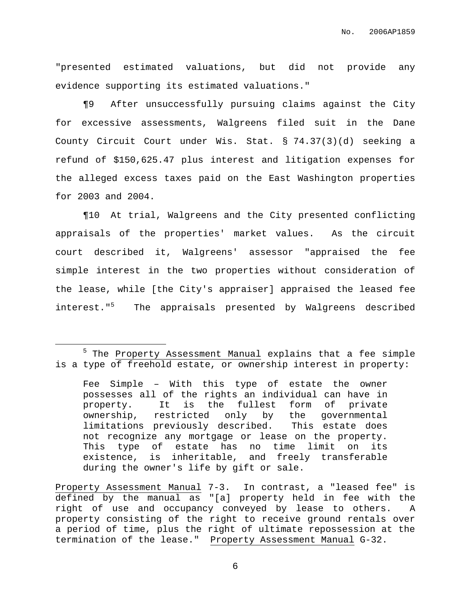"presented estimated valuations, but did not provide any evidence supporting its estimated valuations."

¶9 After unsuccessfully pursuing claims against the City for excessive assessments, Walgreens filed suit in the Dane County Circuit Court under Wis. Stat. § 74.37(3)(d) seeking a refund of \$150,625.47 plus interest and litigation expenses for the alleged excess taxes paid on the East Washington properties for 2003 and 2004.

¶10 At trial, Walgreens and the City presented conflicting appraisals of the properties' market values. As the circuit court described it, Walgreens' assessor "appraised the fee simple interest in the two properties without consideration of the lease, while [the City's appraiser] appraised the leased fee interest." <sup>5</sup> The appraisals presented by Walgreens described

Fee Simple – With this type of estate the owner possesses all of the rights an individual can have in property. It is the fullest form of private ownership, restricted only by the governmental limitations previously described. This estate does not recognize any mortgage or lease on the property. This type of estate has no time limit on its existence, is inheritable, and freely transferable during the owner's life by gift or sale.

Property Assessment Manual 7-3. In contrast, a "leased fee" is defined by the manual as "[a] property held in fee with the right of use and occupancy conveyed by lease to others. A property consisting of the right to receive ground rentals over a period of time, plus the right of ultimate repossession at the termination of the lease." Property Assessment Manual G-32.

<sup>&</sup>lt;sup>5</sup> The Property Assessment Manual explains that a fee simple is a type of freehold estate, or ownership interest in property: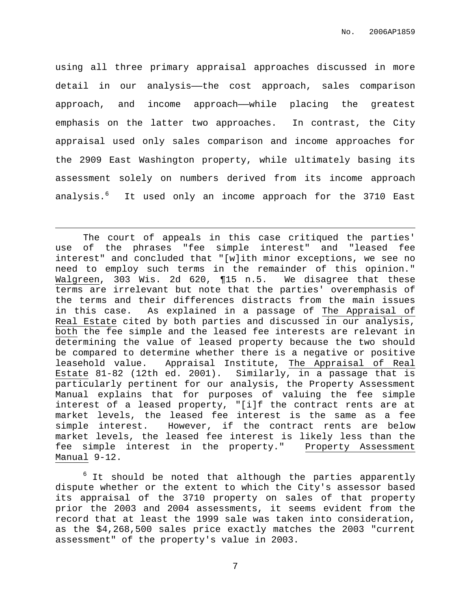using all three primary appraisal approaches discussed in more detail in our analysis—the cost approach, sales comparison approach, and income approach—while placing the greatest emphasis on the latter two approaches. In contrast, the City appraisal used only sales comparison and income approaches for the 2909 East Washington property, while ultimately basing its assessment solely on numbers derived from its income approach analysis.<sup>6</sup> It used only an income approach for the 3710 East

The court of appeals in this case critiqued the parties' use of the phrases "fee simple interest" and "leased fee interest" and concluded that "[w]ith minor exceptions, we see no need to employ such terms in the remainder of this opinion." Walgreen, 303 Wis. 2d 620, ¶15 n.5. We disagree that these terms are irrelevant but note that the parties' overemphasis of the terms and their differences distracts from the main issues in this case. As explained in a passage of The Appraisal of Real Estate cited by both parties and discussed in our analysis, both the fee simple and the leased fee interests are relevant in determining the value of leased property because the two should be compared to determine whether there is a negative or positive leasehold value. Appraisal Institute, The Appraisal of Real Estate 81-82 (12th ed. 2001). Similarly, in a passage that is particularly pertinent for our analysis, the Property Assessment Manual explains that for purposes of valuing the fee simple interest of a leased property, "[i]f the contract rents are at market levels, the leased fee interest is the same as a fee simple interest. However, if the contract rents are below market levels, the leased fee interest is likely less than the fee simple interest in the property." Property Assessment Manual 9-12.

 $6$  It should be noted that although the parties apparently dispute whether or the extent to which the City's assessor based its appraisal of the 3710 property on sales of that property prior the 2003 and 2004 assessments, it seems evident from the record that at least the 1999 sale was taken into consideration, as the \$4,268,500 sales price exactly matches the 2003 "current assessment" of the property's value in 2003.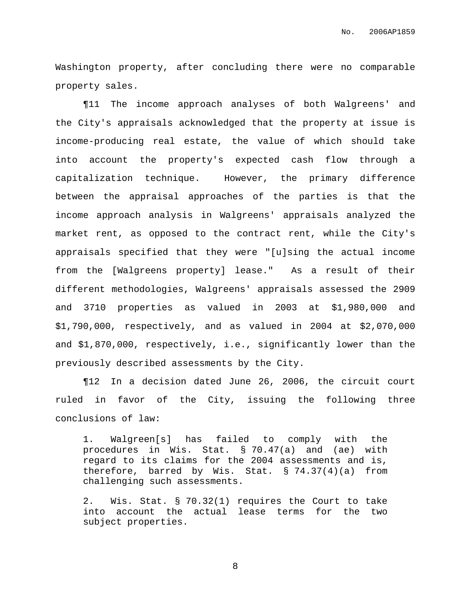Washington property, after concluding there were no comparable property sales.

¶11 The income approach analyses of both Walgreens' and the City's appraisals acknowledged that the property at issue is income-producing real estate, the value of which should take into account the property's expected cash flow through a capitalization technique. However, the primary difference between the appraisal approaches of the parties is that the income approach analysis in Walgreens' appraisals analyzed the market rent, as opposed to the contract rent, while the City's appraisals specified that they were "[u]sing the actual income from the [Walgreens property] lease." As a result of their different methodologies, Walgreens' appraisals assessed the 2909 and 3710 properties as valued in 2003 at \$1,980,000 and \$1,790,000, respectively, and as valued in 2004 at \$2,070,000 and \$1,870,000, respectively, i.e., significantly lower than the previously described assessments by the City.

¶12 In a decision dated June 26, 2006, the circuit court ruled in favor of the City, issuing the following three conclusions of law:

1. Walgreen[s] has failed to comply with the procedures in Wis. Stat. § 70.47(a) and (ae) with regard to its claims for the 2004 assessments and is, therefore, barred by Wis. Stat. § 74.37(4)(a) from challenging such assessments.

2. Wis. Stat. § 70.32(1) requires the Court to take into account the actual lease terms for the two subject properties.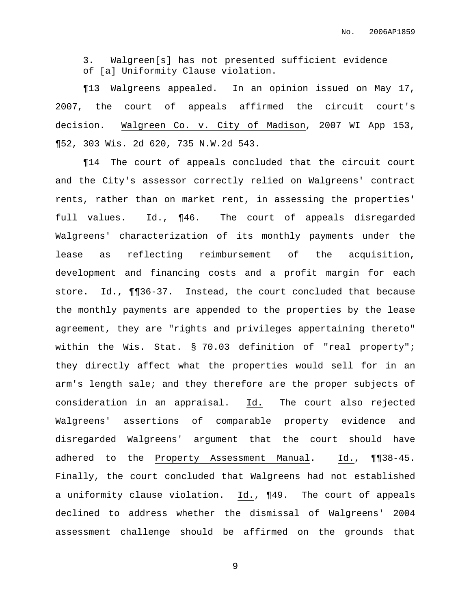3. Walgreen[s] has not presented sufficient evidence of [a] Uniformity Clause violation.

¶13 Walgreens appealed. In an opinion issued on May 17, 2007, the court of appeals affirmed the circuit court's decision. Walgreen Co. v. City of Madison, 2007 WI App 153, ¶52, 303 Wis. 2d 620, 735 N.W.2d 543.

¶14 The court of appeals concluded that the circuit court and the City's assessor correctly relied on Walgreens' contract rents, rather than on market rent, in assessing the properties' full values. Id., ¶46. The court of appeals disregarded Walgreens' characterization of its monthly payments under the lease as reflecting reimbursement of the acquisition, development and financing costs and a profit margin for each store. Id., ¶¶36-37. Instead, the court concluded that because the monthly payments are appended to the properties by the lease agreement, they are "rights and privileges appertaining thereto" within the Wis. Stat. § 70.03 definition of "real property"; they directly affect what the properties would sell for in an arm's length sale; and they therefore are the proper subjects of consideration in an appraisal. Id. The court also rejected Walgreens' assertions of comparable property evidence and disregarded Walgreens' argument that the court should have adhered to the Property Assessment Manual. Id., ¶¶38-45. Finally, the court concluded that Walgreens had not established a uniformity clause violation. Id., ¶49. The court of appeals declined to address whether the dismissal of Walgreens' 2004 assessment challenge should be affirmed on the grounds that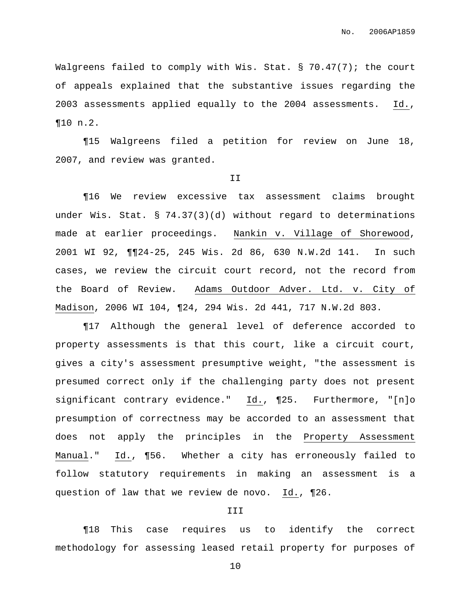Walgreens failed to comply with Wis. Stat. § 70.47(7); the court of appeals explained that the substantive issues regarding the 2003 assessments applied equally to the 2004 assessments. Id., ¶10 n.2.

¶15 Walgreens filed a petition for review on June 18, 2007, and review was granted.

#### II

¶16 We review excessive tax assessment claims brought under Wis. Stat. § 74.37(3)(d) without regard to determinations made at earlier proceedings. Nankin v. Village of Shorewood, 2001 WI 92, ¶¶24-25, 245 Wis. 2d 86, 630 N.W.2d 141. In such cases, we review the circuit court record, not the record from the Board of Review. Adams Outdoor Adver. Ltd. v. City of Madison, 2006 WI 104, ¶24, 294 Wis. 2d 441, 717 N.W.2d 803.

¶17 Although the general level of deference accorded to property assessments is that this court, like a circuit court, gives a city's assessment presumptive weight, "the assessment is presumed correct only if the challenging party does not present significant contrary evidence." Id., ¶25. Furthermore, "[n]o presumption of correctness may be accorded to an assessment that does not apply the principles in the Property Assessment Manual." Id., ¶56. Whether a city has erroneously failed to follow statutory requirements in making an assessment is a question of law that we review de novo. Id., ¶26.

### III

¶18 This case requires us to identify the correct methodology for assessing leased retail property for purposes of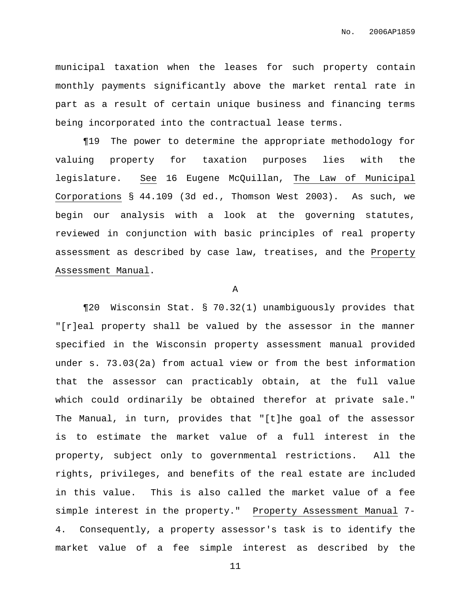municipal taxation when the leases for such property contain monthly payments significantly above the market rental rate in part as a result of certain unique business and financing terms being incorporated into the contractual lease terms.

¶19 The power to determine the appropriate methodology for valuing property for taxation purposes lies with the legislature. See 16 Eugene McQuillan, The Law of Municipal Corporations § 44.109 (3d ed., Thomson West 2003). As such, we begin our analysis with a look at the governing statutes, reviewed in conjunction with basic principles of real property assessment as described by case law, treatises, and the Property Assessment Manual.

### A

¶20 Wisconsin Stat. § 70.32(1) unambiguously provides that "[r]eal property shall be valued by the assessor in the manner specified in the Wisconsin property assessment manual provided under s. 73.03(2a) from actual view or from the best information that the assessor can practicably obtain, at the full value which could ordinarily be obtained therefor at private sale." The Manual, in turn, provides that "[t]he goal of the assessor is to estimate the market value of a full interest in the property, subject only to governmental restrictions. All the rights, privileges, and benefits of the real estate are included in this value. This is also called the market value of a fee simple interest in the property." Property Assessment Manual 7- 4. Consequently, a property assessor's task is to identify the market value of a fee simple interest as described by the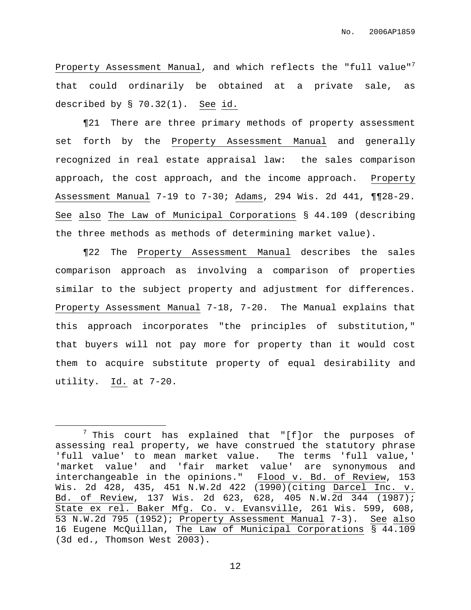Property Assessment Manual, and which reflects the "full value"<sup>7</sup> that could ordinarily be obtained at a private sale, as described by § 70.32(1). See id.

¶21 There are three primary methods of property assessment set forth by the Property Assessment Manual and generally recognized in real estate appraisal law: the sales comparison approach, the cost approach, and the income approach. Property Assessment Manual 7-19 to 7-30; Adams, 294 Wis. 2d 441, ¶¶28-29. See also The Law of Municipal Corporations § 44.109 (describing the three methods as methods of determining market value).

¶22 The Property Assessment Manual describes the sales comparison approach as involving a comparison of properties similar to the subject property and adjustment for differences. Property Assessment Manual 7-18, 7-20. The Manual explains that this approach incorporates "the principles of substitution," that buyers will not pay more for property than it would cost them to acquire substitute property of equal desirability and utility. Id. at 7-20.

 $7$  This court has explained that "[f]or the purposes of assessing real property, we have construed the statutory phrase 'full value' to mean market value. The terms 'full value,' 'market value' and 'fair market value' are synonymous and interchangeable in the opinions." Flood v. Bd. of Review, 153 Wis. 2d 428, 435, 451 N.W.2d 422 (1990)(citing Darcel Inc. v. Bd. of Review, 137 Wis. 2d 623, 628, 405 N.W.2d 344 (1987); State ex rel. Baker Mfg. Co. v. Evansville, 261 Wis. 599, 608, 53 N.W.2d 795 (1952); Property Assessment Manual 7-3). See also 16 Eugene McQuillan, The Law of Municipal Corporations § 44.109 (3d ed., Thomson West 2003).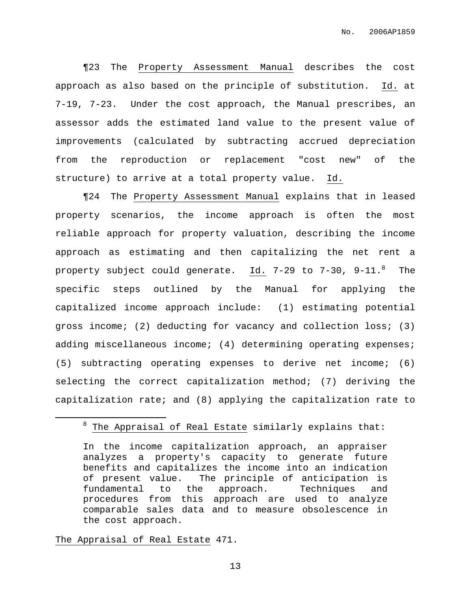¶23 The Property Assessment Manual describes the cost approach as also based on the principle of substitution. Id. at 7-19, 7-23. Under the cost approach, the Manual prescribes, an assessor adds the estimated land value to the present value of improvements (calculated by subtracting accrued depreciation from the reproduction or replacement "cost new" of the structure) to arrive at a total property value. Id.

¶24 The Property Assessment Manual explains that in leased property scenarios, the income approach is often the most reliable approach for property valuation, describing the income approach as estimating and then capitalizing the net rent a property subject could generate. Id. 7-29 to 7-30, 9-11.8 The specific steps outlined by the Manual for applying the capitalized income approach include: (1) estimating potential gross income; (2) deducting for vacancy and collection loss; (3) adding miscellaneous income; (4) determining operating expenses; (5) subtracting operating expenses to derive net income; (6) selecting the correct capitalization method; (7) deriving the capitalization rate; and (8) applying the capitalization rate to

The Appraisal of Real Estate 471.

 $8$  The Appraisal of Real Estate similarly explains that:

In the income capitalization approach, an appraiser analyzes a property's capacity to generate future benefits and capitalizes the income into an indication of present value. The principle of anticipation is fundamental to the approach. Techniques and procedures from this approach are used to analyze comparable sales data and to measure obsolescence in the cost approach.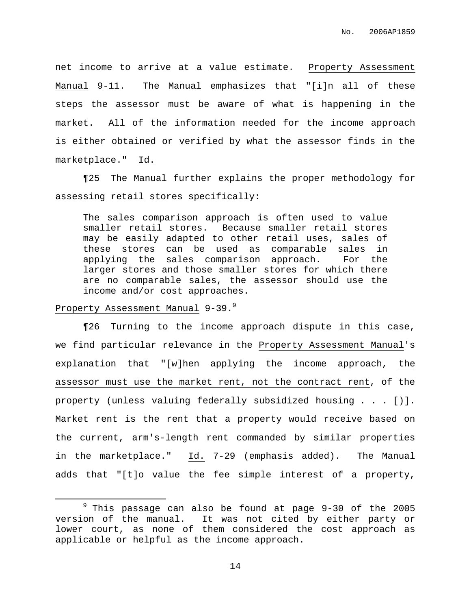net income to arrive at a value estimate. Property Assessment Manual 9-11. The Manual emphasizes that "[i]n all of these steps the assessor must be aware of what is happening in the market. All of the information needed for the income approach is either obtained or verified by what the assessor finds in the marketplace." Id.

¶25 The Manual further explains the proper methodology for assessing retail stores specifically:

The sales comparison approach is often used to value smaller retail stores. Because smaller retail stores may be easily adapted to other retail uses, sales of these stores can be used as comparable sales in applying the sales comparison approach. For the larger stores and those smaller stores for which there are no comparable sales, the assessor should use the income and/or cost approaches.

## Property Assessment Manual 9-39.<sup>9</sup>

¶26 Turning to the income approach dispute in this case, we find particular relevance in the Property Assessment Manual's explanation that "[w]hen applying the income approach, the assessor must use the market rent, not the contract rent, of the property (unless valuing federally subsidized housing . . . [)]. Market rent is the rent that a property would receive based on the current, arm's-length rent commanded by similar properties in the marketplace." Id. 7-29 (emphasis added). The Manual adds that "[t]o value the fee simple interest of a property,

 $9$  This passage can also be found at page  $9-30$  of the 2005 version of the manual. It was not cited by either party or lower court, as none of them considered the cost approach as applicable or helpful as the income approach.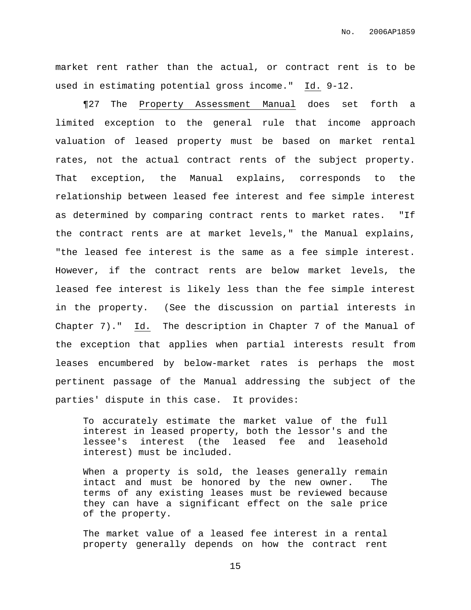market rent rather than the actual, or contract rent is to be used in estimating potential gross income." Id. 9-12.

¶27 The Property Assessment Manual does set forth a limited exception to the general rule that income approach valuation of leased property must be based on market rental rates, not the actual contract rents of the subject property. That exception, the Manual explains, corresponds to the relationship between leased fee interest and fee simple interest as determined by comparing contract rents to market rates. "If the contract rents are at market levels," the Manual explains, "the leased fee interest is the same as a fee simple interest. However, if the contract rents are below market levels, the leased fee interest is likely less than the fee simple interest in the property. (See the discussion on partial interests in Chapter 7)." Id. The description in Chapter 7 of the Manual of the exception that applies when partial interests result from leases encumbered by below-market rates is perhaps the most pertinent passage of the Manual addressing the subject of the parties' dispute in this case. It provides:

To accurately estimate the market value of the full interest in leased property, both the lessor's and the lessee's interest (the leased fee and leasehold interest) must be included.

When a property is sold, the leases generally remain intact and must be honored by the new owner. The terms of any existing leases must be reviewed because they can have a significant effect on the sale price of the property.

The market value of a leased fee interest in a rental property generally depends on how the contract rent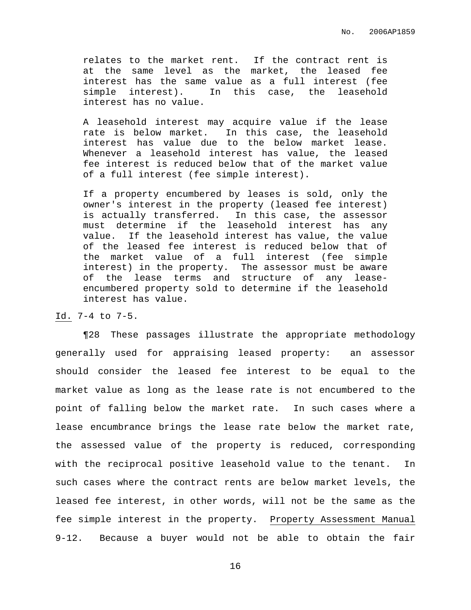relates to the market rent. If the contract rent is at the same level as the market, the leased fee interest has the same value as a full interest (fee simple interest). In this case, the leasehold interest has no value.

A leasehold interest may acquire value if the lease rate is below market. In this case, the leasehold interest has value due to the below market lease. Whenever a leasehold interest has value, the leased fee interest is reduced below that of the market value of a full interest (fee simple interest).

If a property encumbered by leases is sold, only the owner's interest in the property (leased fee interest) is actually transferred. In this case, the assessor must determine if the leasehold interest has any value. If the leasehold interest has value, the value of the leased fee interest is reduced below that of the market value of a full interest (fee simple interest) in the property. The assessor must be aware of the lease terms and structure of any leaseencumbered property sold to determine if the leasehold interest has value.

### Id. 7-4 to 7-5.

¶28 These passages illustrate the appropriate methodology generally used for appraising leased property: an assessor should consider the leased fee interest to be equal to the market value as long as the lease rate is not encumbered to the point of falling below the market rate. In such cases where a lease encumbrance brings the lease rate below the market rate, the assessed value of the property is reduced, corresponding with the reciprocal positive leasehold value to the tenant. In such cases where the contract rents are below market levels, the leased fee interest, in other words, will not be the same as the fee simple interest in the property. Property Assessment Manual 9-12. Because a buyer would not be able to obtain the fair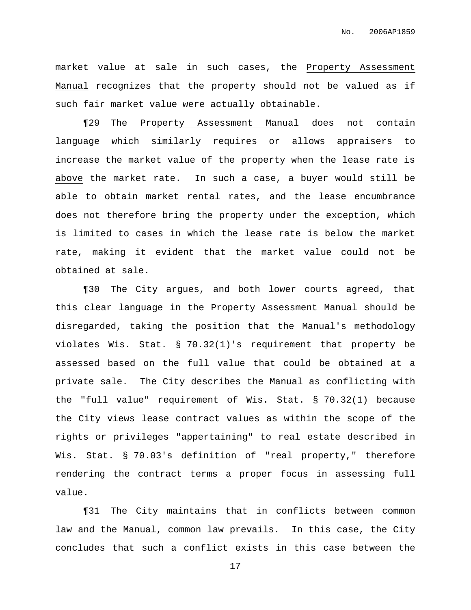market value at sale in such cases, the Property Assessment Manual recognizes that the property should not be valued as if such fair market value were actually obtainable.

¶29 The Property Assessment Manual does not contain language which similarly requires or allows appraisers to increase the market value of the property when the lease rate is above the market rate. In such a case, a buyer would still be able to obtain market rental rates, and the lease encumbrance does not therefore bring the property under the exception, which is limited to cases in which the lease rate is below the market rate, making it evident that the market value could not be obtained at sale.

¶30 The City argues, and both lower courts agreed, that this clear language in the Property Assessment Manual should be disregarded, taking the position that the Manual's methodology violates Wis. Stat. § 70.32(1)'s requirement that property be assessed based on the full value that could be obtained at a private sale. The City describes the Manual as conflicting with the "full value" requirement of Wis. Stat. § 70.32(1) because the City views lease contract values as within the scope of the rights or privileges "appertaining" to real estate described in Wis. Stat. § 70.03's definition of "real property," therefore rendering the contract terms a proper focus in assessing full value.

¶31 The City maintains that in conflicts between common law and the Manual, common law prevails. In this case, the City concludes that such a conflict exists in this case between the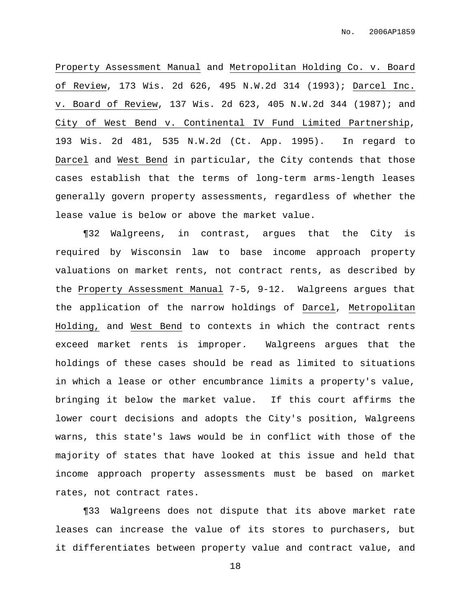Property Assessment Manual and Metropolitan Holding Co. v. Board of Review, 173 Wis. 2d 626, 495 N.W.2d 314 (1993); Darcel Inc. v. Board of Review, 137 Wis. 2d 623, 405 N.W.2d 344 (1987); and City of West Bend v. Continental IV Fund Limited Partnership, 193 Wis. 2d 481, 535 N.W.2d (Ct. App. 1995). In regard to Darcel and West Bend in particular, the City contends that those cases establish that the terms of long-term arms-length leases generally govern property assessments, regardless of whether the lease value is below or above the market value.

¶32 Walgreens, in contrast, argues that the City is required by Wisconsin law to base income approach property valuations on market rents, not contract rents, as described by the Property Assessment Manual 7-5, 9-12. Walgreens argues that the application of the narrow holdings of Darcel, Metropolitan Holding, and West Bend to contexts in which the contract rents exceed market rents is improper. Walgreens argues that the holdings of these cases should be read as limited to situations in which a lease or other encumbrance limits a property's value, bringing it below the market value. If this court affirms the lower court decisions and adopts the City's position, Walgreens warns, this state's laws would be in conflict with those of the majority of states that have looked at this issue and held that income approach property assessments must be based on market rates, not contract rates.

¶33 Walgreens does not dispute that its above market rate leases can increase the value of its stores to purchasers, but it differentiates between property value and contract value, and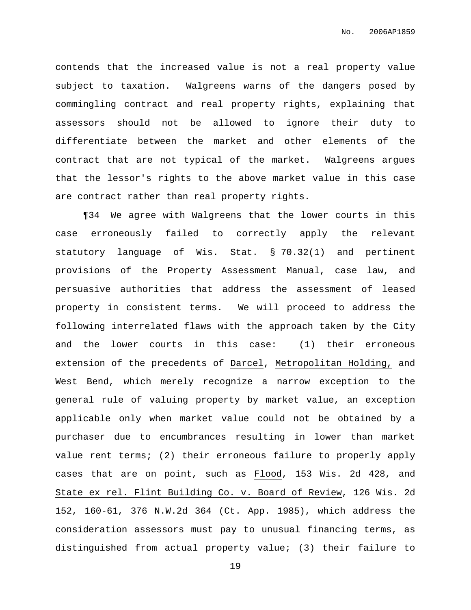contends that the increased value is not a real property value subject to taxation. Walgreens warns of the dangers posed by commingling contract and real property rights, explaining that assessors should not be allowed to ignore their duty to differentiate between the market and other elements of the contract that are not typical of the market. Walgreens argues that the lessor's rights to the above market value in this case are contract rather than real property rights.

¶34 We agree with Walgreens that the lower courts in this case erroneously failed to correctly apply the relevant statutory language of Wis. Stat. § 70.32(1) and pertinent provisions of the Property Assessment Manual, case law, and persuasive authorities that address the assessment of leased property in consistent terms. We will proceed to address the following interrelated flaws with the approach taken by the City and the lower courts in this case: (1) their erroneous extension of the precedents of Darcel, Metropolitan Holding, and West Bend, which merely recognize a narrow exception to the general rule of valuing property by market value, an exception applicable only when market value could not be obtained by a purchaser due to encumbrances resulting in lower than market value rent terms; (2) their erroneous failure to properly apply cases that are on point, such as Flood, 153 Wis. 2d 428, and State ex rel. Flint Building Co. v. Board of Review, 126 Wis. 2d 152, 160-61, 376 N.W.2d 364 (Ct. App. 1985), which address the consideration assessors must pay to unusual financing terms, as distinguished from actual property value; (3) their failure to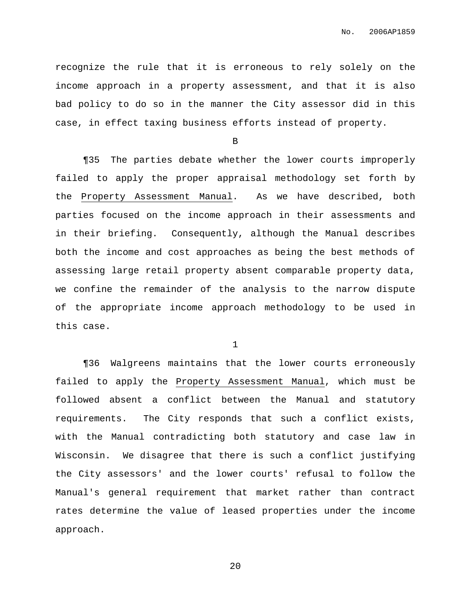recognize the rule that it is erroneous to rely solely on the income approach in a property assessment, and that it is also bad policy to do so in the manner the City assessor did in this case, in effect taxing business efforts instead of property.

B

¶35 The parties debate whether the lower courts improperly failed to apply the proper appraisal methodology set forth by the Property Assessment Manual. As we have described, both parties focused on the income approach in their assessments and in their briefing. Consequently, although the Manual describes both the income and cost approaches as being the best methods of assessing large retail property absent comparable property data, we confine the remainder of the analysis to the narrow dispute of the appropriate income approach methodology to be used in this case.

1

¶36 Walgreens maintains that the lower courts erroneously failed to apply the Property Assessment Manual, which must be followed absent a conflict between the Manual and statutory requirements. The City responds that such a conflict exists, with the Manual contradicting both statutory and case law in Wisconsin. We disagree that there is such a conflict justifying the City assessors' and the lower courts' refusal to follow the Manual's general requirement that market rather than contract rates determine the value of leased properties under the income approach.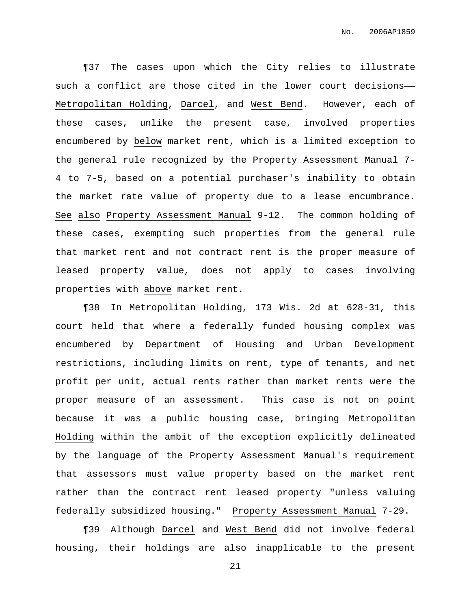¶37 The cases upon which the City relies to illustrate such a conflict are those cited in the lower court decisions—— Metropolitan Holding, Darcel, and West Bend. However, each of these cases, unlike the present case, involved properties encumbered by below market rent, which is a limited exception to the general rule recognized by the Property Assessment Manual 7- 4 to 7-5, based on a potential purchaser's inability to obtain the market rate value of property due to a lease encumbrance. See also Property Assessment Manual 9-12. The common holding of these cases, exempting such properties from the general rule that market rent and not contract rent is the proper measure of leased property value, does not apply to cases involving properties with above market rent.

¶38 In Metropolitan Holding, 173 Wis. 2d at 628-31, this court held that where a federally funded housing complex was encumbered by Department of Housing and Urban Development restrictions, including limits on rent, type of tenants, and net profit per unit, actual rents rather than market rents were the proper measure of an assessment. This case is not on point because it was a public housing case, bringing Metropolitan Holding within the ambit of the exception explicitly delineated by the language of the Property Assessment Manual's requirement that assessors must value property based on the market rent rather than the contract rent leased property "unless valuing federally subsidized housing." Property Assessment Manual 7-29.

¶39 Although Darcel and West Bend did not involve federal housing, their holdings are also inapplicable to the present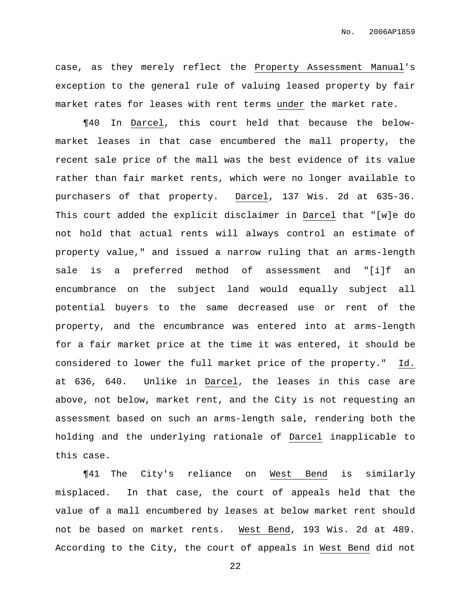case, as they merely reflect the Property Assessment Manual's exception to the general rule of valuing leased property by fair market rates for leases with rent terms under the market rate.

¶40 In Darcel, this court held that because the belowmarket leases in that case encumbered the mall property, the recent sale price of the mall was the best evidence of its value rather than fair market rents, which were no longer available to purchasers of that property. Darcel, 137 Wis. 2d at 635-36. This court added the explicit disclaimer in Darcel that "[w]e do not hold that actual rents will always control an estimate of property value," and issued a narrow ruling that an arms-length sale is a preferred method of assessment and "[i]f an encumbrance on the subject land would equally subject all potential buyers to the same decreased use or rent of the property, and the encumbrance was entered into at arms-length for a fair market price at the time it was entered, it should be considered to lower the full market price of the property." Id. at 636, 640. Unlike in Darcel, the leases in this case are above, not below, market rent, and the City is not requesting an assessment based on such an arms-length sale, rendering both the holding and the underlying rationale of Darcel inapplicable to this case.

¶41 The City's reliance on West Bend is similarly misplaced. In that case, the court of appeals held that the value of a mall encumbered by leases at below market rent should not be based on market rents. West Bend, 193 Wis. 2d at 489. According to the City, the court of appeals in West Bend did not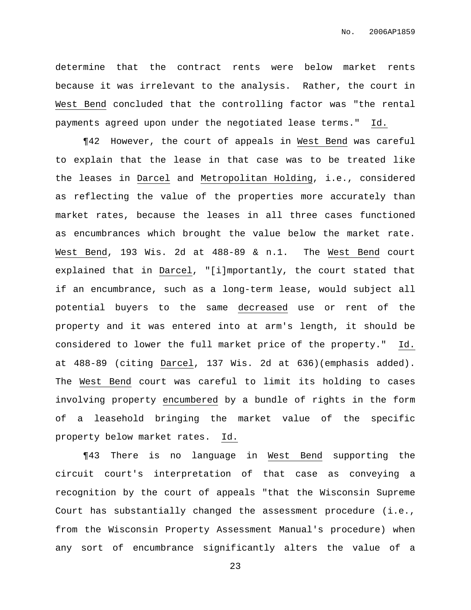determine that the contract rents were below market rents because it was irrelevant to the analysis. Rather, the court in West Bend concluded that the controlling factor was "the rental payments agreed upon under the negotiated lease terms." Id.

¶42 However, the court of appeals in West Bend was careful to explain that the lease in that case was to be treated like the leases in Darcel and Metropolitan Holding, i.e., considered as reflecting the value of the properties more accurately than market rates, because the leases in all three cases functioned as encumbrances which brought the value below the market rate. West Bend, 193 Wis. 2d at 488-89 & n.1. The West Bend court explained that in Darcel, "[i]mportantly, the court stated that if an encumbrance, such as a long-term lease, would subject all potential buyers to the same decreased use or rent of the property and it was entered into at arm's length, it should be considered to lower the full market price of the property." Id. at 488-89 (citing Darcel, 137 Wis. 2d at 636)(emphasis added). The West Bend court was careful to limit its holding to cases involving property encumbered by a bundle of rights in the form of a leasehold bringing the market value of the specific property below market rates. Id.

¶43 There is no language in West Bend supporting the circuit court's interpretation of that case as conveying a recognition by the court of appeals "that the Wisconsin Supreme Court has substantially changed the assessment procedure (i.e., from the Wisconsin Property Assessment Manual's procedure) when any sort of encumbrance significantly alters the value of a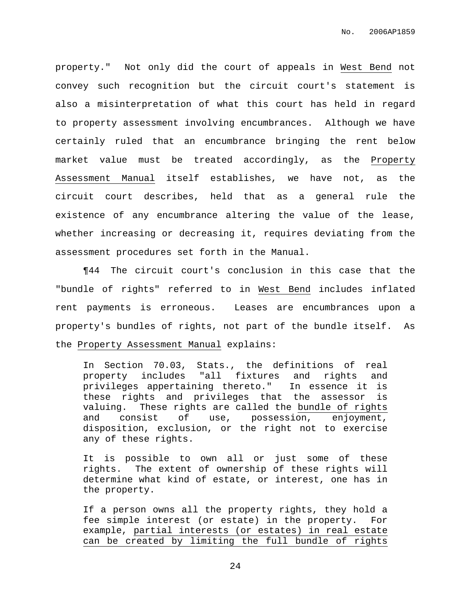property." Not only did the court of appeals in West Bend not convey such recognition but the circuit court's statement is also a misinterpretation of what this court has held in regard to property assessment involving encumbrances. Although we have certainly ruled that an encumbrance bringing the rent below market value must be treated accordingly, as the Property Assessment Manual itself establishes, we have not, as the circuit court describes, held that as a general rule the existence of any encumbrance altering the value of the lease, whether increasing or decreasing it, requires deviating from the assessment procedures set forth in the Manual.

¶44 The circuit court's conclusion in this case that the "bundle of rights" referred to in West Bend includes inflated rent payments is erroneous. Leases are encumbrances upon a property's bundles of rights, not part of the bundle itself. As the Property Assessment Manual explains:

In Section 70.03, Stats., the definitions of real property includes "all fixtures and rights and privileges appertaining thereto." In essence it is these rights and privileges that the assessor is valuing. These rights are called the bundle of rights and consist of use, possession, enjoyment, disposition, exclusion, or the right not to exercise any of these rights.

It is possible to own all or just some of these rights. The extent of ownership of these rights will determine what kind of estate, or interest, one has in the property.

If a person owns all the property rights, they hold a fee simple interest (or estate) in the property. For example, partial interests (or estates) in real estate can be created by limiting the full bundle of rights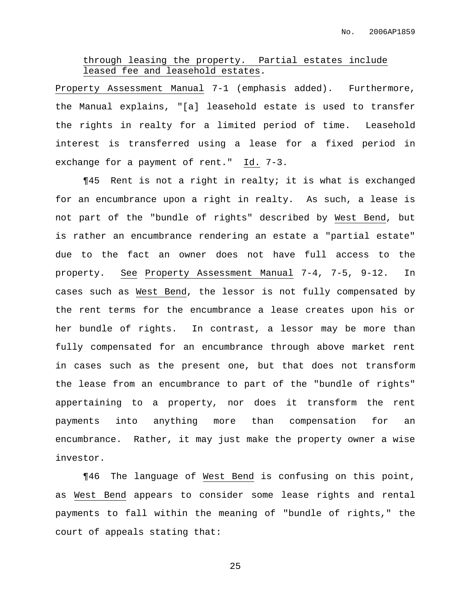## through leasing the property. Partial estates include leased fee and leasehold estates.

Property Assessment Manual 7-1 (emphasis added). Furthermore, the Manual explains, "[a] leasehold estate is used to transfer the rights in realty for a limited period of time. Leasehold interest is transferred using a lease for a fixed period in exchange for a payment of rent." Id. 7-3.

¶45 Rent is not a right in realty; it is what is exchanged for an encumbrance upon a right in realty. As such, a lease is not part of the "bundle of rights" described by West Bend, but is rather an encumbrance rendering an estate a "partial estate" due to the fact an owner does not have full access to the property. See Property Assessment Manual 7-4, 7-5, 9-12. In cases such as West Bend, the lessor is not fully compensated by the rent terms for the encumbrance a lease creates upon his or her bundle of rights. In contrast, a lessor may be more than fully compensated for an encumbrance through above market rent in cases such as the present one, but that does not transform the lease from an encumbrance to part of the "bundle of rights" appertaining to a property, nor does it transform the rent payments into anything more than compensation for an encumbrance. Rather, it may just make the property owner a wise investor.

¶46 The language of West Bend is confusing on this point, as West Bend appears to consider some lease rights and rental payments to fall within the meaning of "bundle of rights," the court of appeals stating that: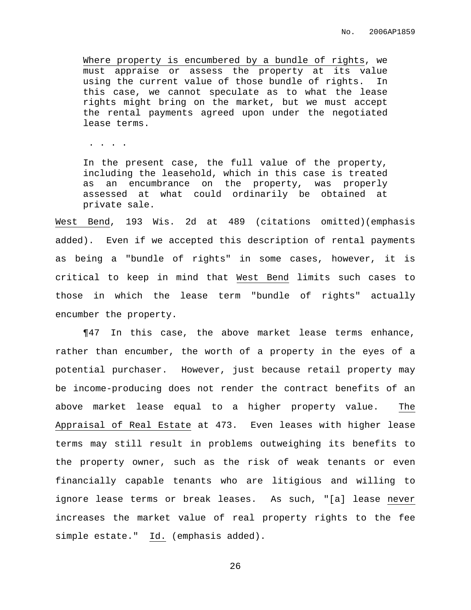Where property is encumbered by a bundle of rights, we must appraise or assess the property at its value using the current value of those bundle of rights. In this case, we cannot speculate as to what the lease rights might bring on the market, but we must accept the rental payments agreed upon under the negotiated lease terms.

. . . .

In the present case, the full value of the property, including the leasehold, which in this case is treated as an encumbrance on the property, was properly assessed at what could ordinarily be obtained at private sale.

West Bend, 193 Wis. 2d at 489 (citations omitted)(emphasis added). Even if we accepted this description of rental payments as being a "bundle of rights" in some cases, however, it is critical to keep in mind that West Bend limits such cases to those in which the lease term "bundle of rights" actually encumber the property.

¶47 In this case, the above market lease terms enhance, rather than encumber, the worth of a property in the eyes of a potential purchaser. However, just because retail property may be income-producing does not render the contract benefits of an above market lease equal to a higher property value. The Appraisal of Real Estate at 473. Even leases with higher lease terms may still result in problems outweighing its benefits to the property owner, such as the risk of weak tenants or even financially capable tenants who are litigious and willing to ignore lease terms or break leases. As such, "[a] lease never increases the market value of real property rights to the fee simple estate." Id. (emphasis added).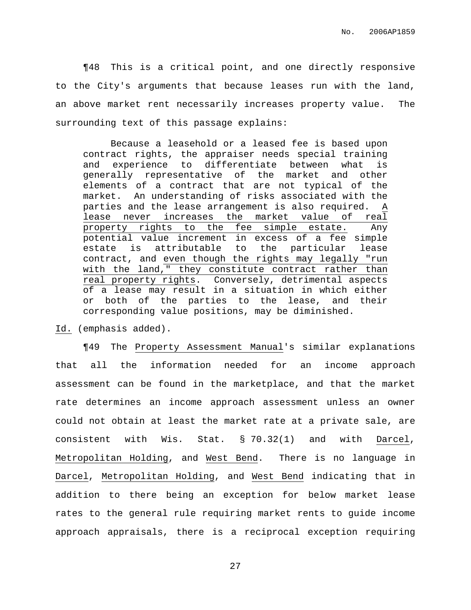¶48 This is a critical point, and one directly responsive to the City's arguments that because leases run with the land, an above market rent necessarily increases property value. The surrounding text of this passage explains:

Because a leasehold or a leased fee is based upon contract rights, the appraiser needs special training and experience to differentiate between what is generally representative of the market and other elements of a contract that are not typical of the market. An understanding of risks associated with the parties and the lease arrangement is also required. A lease never increases the market value of real property rights to the fee simple estate. Any potential value increment in excess of a fee simple estate is attributable to the particular lease contract, and even though the rights may legally "run with the land," they constitute contract rather than real property rights. Conversely, detrimental aspects of a lease may result in a situation in which either or both of the parties to the lease, and their corresponding value positions, may be diminished.

Id. (emphasis added).

¶49 The Property Assessment Manual's similar explanations that all the information needed for an income approach assessment can be found in the marketplace, and that the market rate determines an income approach assessment unless an owner could not obtain at least the market rate at a private sale, are consistent with Wis. Stat. § 70.32(1) and with Darcel, Metropolitan Holding, and West Bend. There is no language in Darcel, Metropolitan Holding, and West Bend indicating that in addition to there being an exception for below market lease rates to the general rule requiring market rents to guide income approach appraisals, there is a reciprocal exception requiring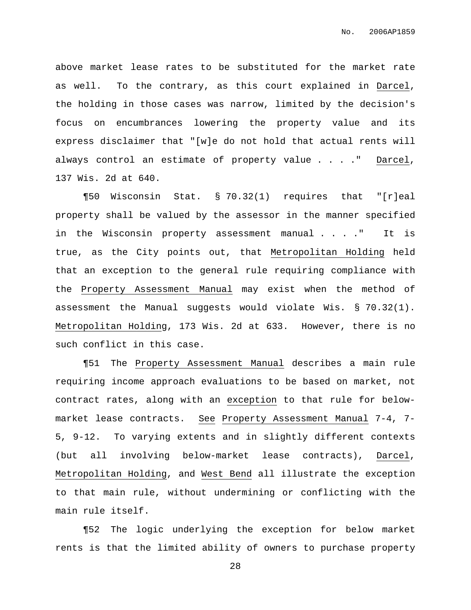above market lease rates to be substituted for the market rate as well. To the contrary, as this court explained in Darcel, the holding in those cases was narrow, limited by the decision's focus on encumbrances lowering the property value and its express disclaimer that "[w]e do not hold that actual rents will always control an estimate of property value . . . ." Darcel, 137 Wis. 2d at 640.

¶50 Wisconsin Stat. § 70.32(1) requires that "[r]eal property shall be valued by the assessor in the manner specified in the Wisconsin property assessment manual . . . ." It is true, as the City points out, that Metropolitan Holding held that an exception to the general rule requiring compliance with the Property Assessment Manual may exist when the method of assessment the Manual suggests would violate Wis. § 70.32(1). Metropolitan Holding, 173 Wis. 2d at 633. However, there is no such conflict in this case.

¶51 The Property Assessment Manual describes a main rule requiring income approach evaluations to be based on market, not contract rates, along with an exception to that rule for belowmarket lease contracts. See Property Assessment Manual 7-4, 7- 5, 9-12. To varying extents and in slightly different contexts (but all involving below-market lease contracts), Darcel, Metropolitan Holding, and West Bend all illustrate the exception to that main rule, without undermining or conflicting with the main rule itself.

¶52 The logic underlying the exception for below market rents is that the limited ability of owners to purchase property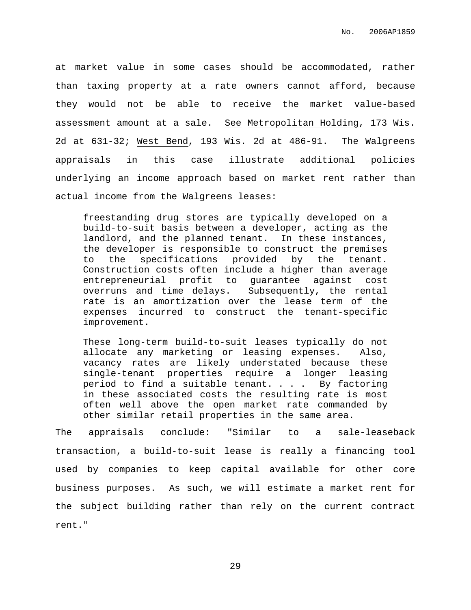at market value in some cases should be accommodated, rather than taxing property at a rate owners cannot afford, because they would not be able to receive the market value-based assessment amount at a sale. See Metropolitan Holding, 173 Wis. 2d at 631-32; West Bend, 193 Wis. 2d at 486-91. The Walgreens appraisals in this case illustrate additional policies underlying an income approach based on market rent rather than actual income from the Walgreens leases:

freestanding drug stores are typically developed on a build-to-suit basis between a developer, acting as the landlord, and the planned tenant. In these instances, the developer is responsible to construct the premises to the specifications provided by the tenant. Construction costs often include a higher than average entrepreneurial profit to guarantee against cost overruns and time delays. Subsequently, the rental rate is an amortization over the lease term of the expenses incurred to construct the tenant-specific improvement.

These long-term build-to-suit leases typically do not allocate any marketing or leasing expenses. Also, vacancy rates are likely understated because these single-tenant properties require a longer leasing period to find a suitable tenant. . . . By factoring in these associated costs the resulting rate is most often well above the open market rate commanded by other similar retail properties in the same area.

The appraisals conclude: "Similar to a sale-leaseback transaction, a build-to-suit lease is really a financing tool used by companies to keep capital available for other core business purposes. As such, we will estimate a market rent for the subject building rather than rely on the current contract rent."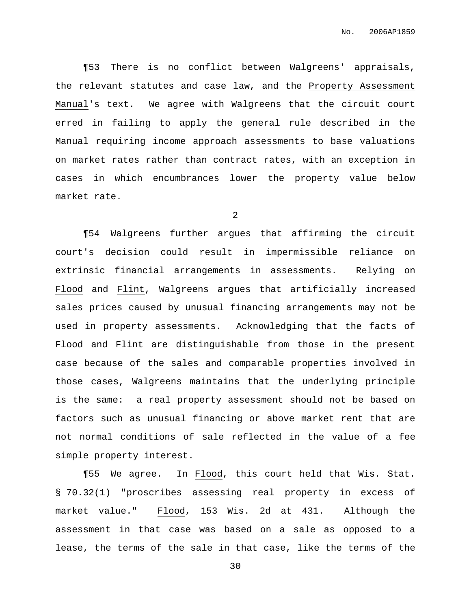¶53 There is no conflict between Walgreens' appraisals, the relevant statutes and case law, and the Property Assessment Manual's text. We agree with Walgreens that the circuit court erred in failing to apply the general rule described in the Manual requiring income approach assessments to base valuations on market rates rather than contract rates, with an exception in cases in which encumbrances lower the property value below market rate.

2

¶54 Walgreens further argues that affirming the circuit court's decision could result in impermissible reliance on extrinsic financial arrangements in assessments. Relying on Flood and Flint, Walgreens argues that artificially increased sales prices caused by unusual financing arrangements may not be used in property assessments. Acknowledging that the facts of Flood and Flint are distinguishable from those in the present case because of the sales and comparable properties involved in those cases, Walgreens maintains that the underlying principle is the same: a real property assessment should not be based on factors such as unusual financing or above market rent that are not normal conditions of sale reflected in the value of a fee simple property interest.

¶55 We agree. In Flood, this court held that Wis. Stat. § 70.32(1) "proscribes assessing real property in excess of market value." Flood, 153 Wis. 2d at 431. Although the assessment in that case was based on a sale as opposed to a lease, the terms of the sale in that case, like the terms of the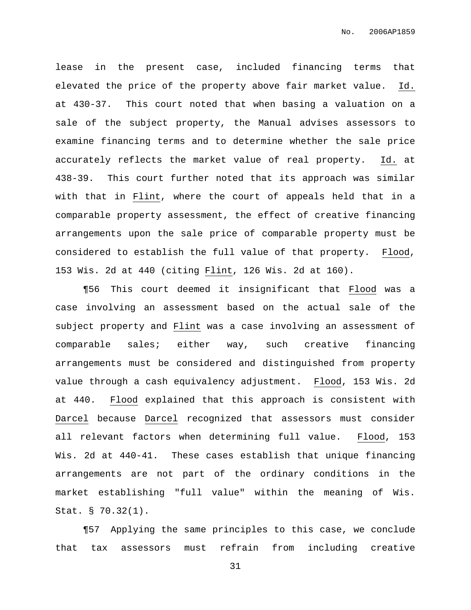lease in the present case, included financing terms that elevated the price of the property above fair market value. Id. at 430-37. This court noted that when basing a valuation on a sale of the subject property, the Manual advises assessors to examine financing terms and to determine whether the sale price accurately reflects the market value of real property. Id. at 438-39. This court further noted that its approach was similar with that in Flint, where the court of appeals held that in a comparable property assessment, the effect of creative financing arrangements upon the sale price of comparable property must be considered to establish the full value of that property. Flood, 153 Wis. 2d at 440 (citing Flint, 126 Wis. 2d at 160).

¶56 This court deemed it insignificant that Flood was a case involving an assessment based on the actual sale of the subject property and Flint was a case involving an assessment of comparable sales; either way, such creative financing arrangements must be considered and distinguished from property value through a cash equivalency adjustment. Flood, 153 Wis. 2d at 440. Flood explained that this approach is consistent with Darcel because Darcel recognized that assessors must consider all relevant factors when determining full value. Flood, 153 Wis. 2d at 440-41. These cases establish that unique financing arrangements are not part of the ordinary conditions in the market establishing "full value" within the meaning of Wis. Stat. § 70.32(1).

¶57 Applying the same principles to this case, we conclude that tax assessors must refrain from including creative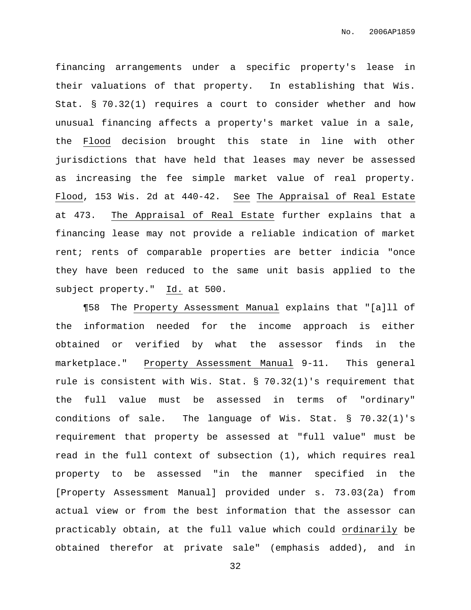financing arrangements under a specific property's lease in their valuations of that property. In establishing that Wis. Stat. § 70.32(1) requires a court to consider whether and how unusual financing affects a property's market value in a sale, the Flood decision brought this state in line with other jurisdictions that have held that leases may never be assessed as increasing the fee simple market value of real property. Flood, 153 Wis. 2d at 440-42. See The Appraisal of Real Estate at 473. The Appraisal of Real Estate further explains that a financing lease may not provide a reliable indication of market rent; rents of comparable properties are better indicia "once they have been reduced to the same unit basis applied to the subject property." Id. at 500.

¶58 The Property Assessment Manual explains that "[a]ll of the information needed for the income approach is either obtained or verified by what the assessor finds in the marketplace." Property Assessment Manual 9-11. This general rule is consistent with Wis. Stat.  $\S$  70.32(1)'s requirement that the full value must be assessed in terms of "ordinary" conditions of sale. The language of Wis. Stat. § 70.32(1)'s requirement that property be assessed at "full value" must be read in the full context of subsection (1), which requires real property to be assessed "in the manner specified in the [Property Assessment Manual] provided under s. 73.03(2a) from actual view or from the best information that the assessor can practicably obtain, at the full value which could ordinarily be obtained therefor at private sale" (emphasis added), and in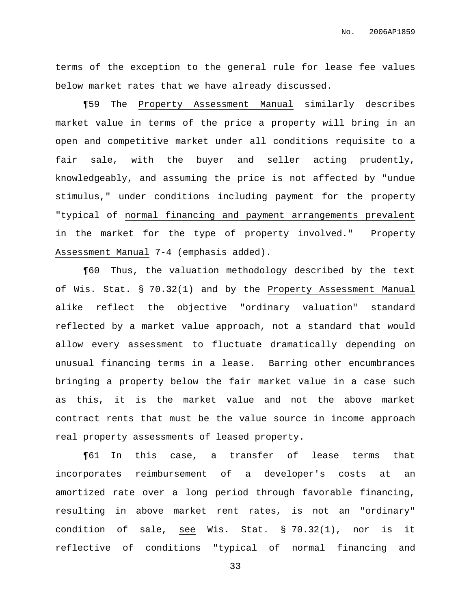terms of the exception to the general rule for lease fee values below market rates that we have already discussed.

¶59 The Property Assessment Manual similarly describes market value in terms of the price a property will bring in an open and competitive market under all conditions requisite to a fair sale, with the buyer and seller acting prudently, knowledgeably, and assuming the price is not affected by "undue stimulus," under conditions including payment for the property "typical of normal financing and payment arrangements prevalent in the market for the type of property involved." Property Assessment Manual 7-4 (emphasis added).

¶60 Thus, the valuation methodology described by the text of Wis. Stat. § 70.32(1) and by the Property Assessment Manual alike reflect the objective "ordinary valuation" standard reflected by a market value approach, not a standard that would allow every assessment to fluctuate dramatically depending on unusual financing terms in a lease. Barring other encumbrances bringing a property below the fair market value in a case such as this, it is the market value and not the above market contract rents that must be the value source in income approach real property assessments of leased property.

¶61 In this case, a transfer of lease terms that incorporates reimbursement of a developer's costs at an amortized rate over a long period through favorable financing, resulting in above market rent rates, is not an "ordinary" condition of sale, see Wis. Stat. § 70.32(1), nor is it reflective of conditions "typical of normal financing and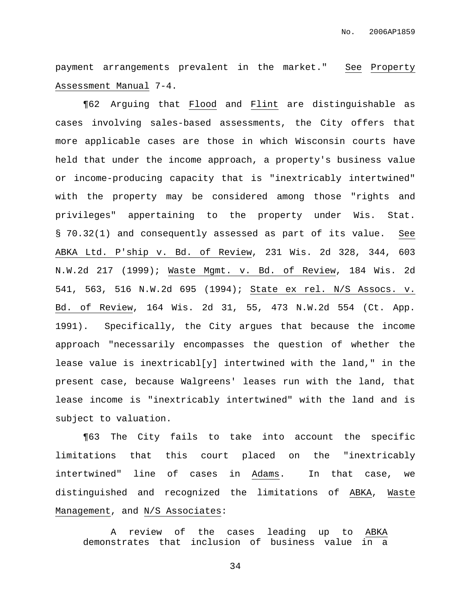payment arrangements prevalent in the market." See Property Assessment Manual 7-4.

¶62 Arguing that Flood and Flint are distinguishable as cases involving sales-based assessments, the City offers that more applicable cases are those in which Wisconsin courts have held that under the income approach, a property's business value or income-producing capacity that is "inextricably intertwined" with the property may be considered among those "rights and privileges" appertaining to the property under Wis. Stat. § 70.32(1) and consequently assessed as part of its value. See ABKA Ltd. P'ship v. Bd. of Review, 231 Wis. 2d 328, 344, 603 N.W.2d 217 (1999); Waste Mgmt. v. Bd. of Review, 184 Wis. 2d 541, 563, 516 N.W.2d 695 (1994); State ex rel. N/S Assocs. v. Bd. of Review, 164 Wis. 2d 31, 55, 473 N.W.2d 554 (Ct. App. 1991). Specifically, the City argues that because the income approach "necessarily encompasses the question of whether the lease value is inextricabl[y] intertwined with the land," in the present case, because Walgreens' leases run with the land, that lease income is "inextricably intertwined" with the land and is subject to valuation.

¶63 The City fails to take into account the specific limitations that this court placed on the "inextricably intertwined" line of cases in Adams. In that case, we distinguished and recognized the limitations of ABKA, Waste Management, and N/S Associates:

A review of the cases leading up to ABKA demonstrates that inclusion of business value in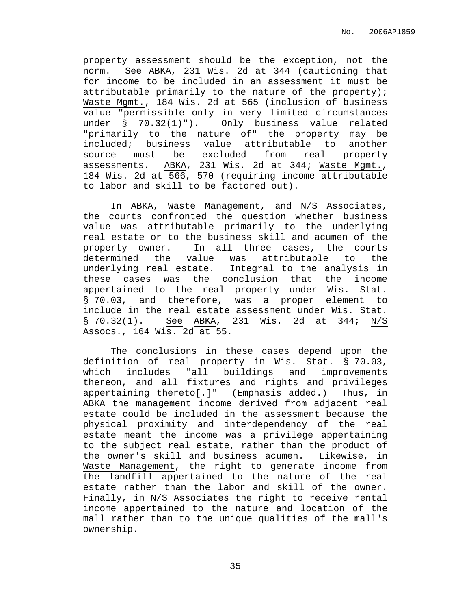property assessment should be the exception, not the norm. See ABKA, 231 Wis. 2d at 344 (cautioning that for income to be included in an assessment it must be attributable primarily to the nature of the property); Waste Mgmt., 184 Wis. 2d at 565 (inclusion of business value "permissible only in very limited circumstances under § 70.32(1)"). Only business value related "primarily to the nature of" the property may be included; business value attributable to another source must be excluded from real property assessments. ABKA, 231 Wis. 2d at 344; Waste Mgmt., 184 Wis. 2d at 566, 570 (requiring income attributable to labor and skill to be factored out).

In ABKA, Waste Management, and N/S Associates, the courts confronted the question whether business value was attributable primarily to the underlying real estate or to the business skill and acumen of the property owner. In all three cases, the courts determined the value was attributable to the underlying real estate. Integral to the analysis in these cases was the conclusion that the income appertained to the real property under Wis. Stat. § 70.03, and therefore, was a proper element to include in the real estate assessment under Wis. Stat. § 70.32(1). See ABKA, 231 Wis. 2d at 344; N/S Assocs., 164 Wis. 2d at 55.

The conclusions in these cases depend upon the definition of real property in Wis. Stat. § 70.03, which includes "all buildings and improvements thereon, and all fixtures and rights and privileges appertaining thereto[.]" (Emphasis added.) Thus, in ABKA the management income derived from adjacent real estate could be included in the assessment because the physical proximity and interdependency of the real estate meant the income was a privilege appertaining to the subject real estate, rather than the product of the owner's skill and business acumen. Likewise, in Waste Management, the right to generate income from the landfill appertained to the nature of the real estate rather than the labor and skill of the owner. Finally, in N/S Associates the right to receive rental income appertained to the nature and location of the mall rather than to the unique qualities of the mall's ownership.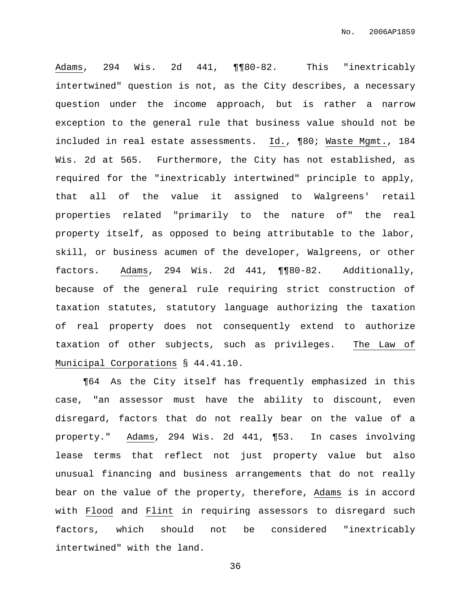Adams, 294 Wis. 2d 441, ¶¶80-82. This "inextricably intertwined" question is not, as the City describes, a necessary question under the income approach, but is rather a narrow exception to the general rule that business value should not be included in real estate assessments. Id., ¶80; Waste Mgmt., 184 Wis. 2d at 565. Furthermore, the City has not established, as required for the "inextricably intertwined" principle to apply, that all of the value it assigned to Walgreens' retail properties related "primarily to the nature of" the real property itself, as opposed to being attributable to the labor, skill, or business acumen of the developer, Walgreens, or other factors. Adams, 294 Wis. 2d 441, ¶¶80-82. Additionally, because of the general rule requiring strict construction of taxation statutes, statutory language authorizing the taxation of real property does not consequently extend to authorize taxation of other subjects, such as privileges. The Law of Municipal Corporations § 44.41.10.

¶64 As the City itself has frequently emphasized in this case, "an assessor must have the ability to discount, even disregard, factors that do not really bear on the value of a property." Adams, 294 Wis. 2d 441, ¶53. In cases involving lease terms that reflect not just property value but also unusual financing and business arrangements that do not really bear on the value of the property, therefore, Adams is in accord with Flood and Flint in requiring assessors to disregard such factors, which should not be considered "inextricably intertwined" with the land.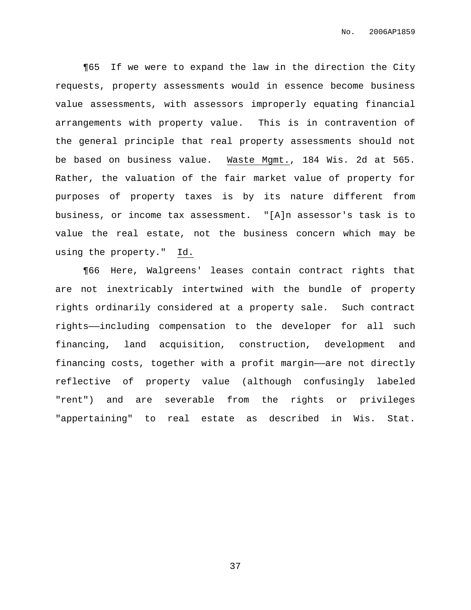¶65 If we were to expand the law in the direction the City requests, property assessments would in essence become business value assessments, with assessors improperly equating financial arrangements with property value. This is in contravention of the general principle that real property assessments should not be based on business value. Waste Mgmt., 184 Wis. 2d at 565. Rather, the valuation of the fair market value of property for purposes of property taxes is by its nature different from business, or income tax assessment. "[A]n assessor's task is to value the real estate, not the business concern which may be using the property." Id.

¶66 Here, Walgreens' leases contain contract rights that are not inextricably intertwined with the bundle of property rights ordinarily considered at a property sale. Such contract rights——including compensation to the developer for all such financing, land acquisition, construction, development and financing costs, together with a profit margin——are not directly reflective of property value (although confusingly labeled "rent") and are severable from the rights or privileges "appertaining" to real estate as described in Wis. Stat.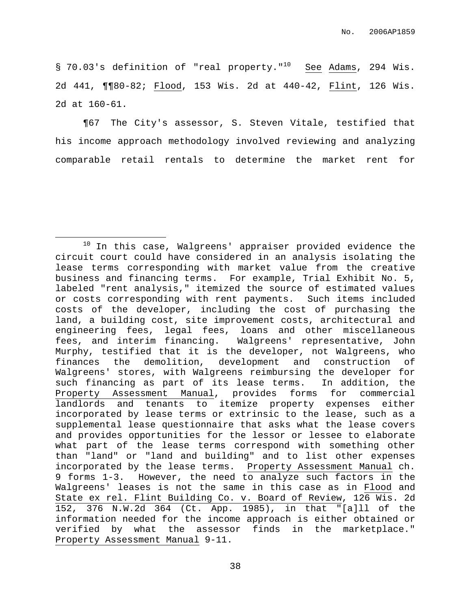§ 70.03's definition of "real property."<sup>10</sup> See Adams, 294 Wis. 2d 441, ¶¶80-82; Flood, 153 Wis. 2d at 440-42, Flint, 126 Wis. 2d at 160-61.

¶67 The City's assessor, S. Steven Vitale, testified that his income approach methodology involved reviewing and analyzing comparable retail rentals to determine the market rent for

 $10$  In this case, Walgreens' appraiser provided evidence the circuit court could have considered in an analysis isolating the lease terms corresponding with market value from the creative business and financing terms. For example, Trial Exhibit No. 5, labeled "rent analysis," itemized the source of estimated values or costs corresponding with rent payments. Such items included costs of the developer, including the cost of purchasing the land, a building cost, site improvement costs, architectural and engineering fees, legal fees, loans and other miscellaneous fees, and interim financing. Walgreens' representative, John Murphy, testified that it is the developer, not Walgreens, who finances the demolition, development and construction of Walgreens' stores, with Walgreens reimbursing the developer for such financing as part of its lease terms. In addition, the Property Assessment Manual, provides forms for commercial landlords and tenants to itemize property expenses either incorporated by lease terms or extrinsic to the lease, such as a supplemental lease questionnaire that asks what the lease covers and provides opportunities for the lessor or lessee to elaborate what part of the lease terms correspond with something other than "land" or "land and building" and to list other expenses incorporated by the lease terms. Property Assessment Manual ch. 9 forms 1-3. However, the need to analyze such factors in the Walgreens' leases is not the same in this case as in Flood and State ex rel. Flint Building Co. v. Board of Review, 126 Wis. 2d 152, 376 N.W.2d 364 (Ct. App. 1985), in that "[a]ll of the information needed for the income approach is either obtained or verified by what the assessor finds in the marketplace." Property Assessment Manual 9-11.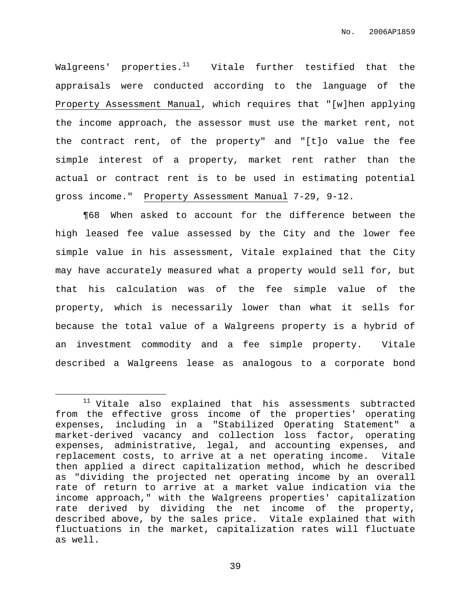Walgreens' properties.<sup>11</sup> Vitale further testified that the appraisals were conducted according to the language of the Property Assessment Manual, which requires that "[w]hen applying the income approach, the assessor must use the market rent, not the contract rent, of the property" and "[t]o value the fee simple interest of a property, market rent rather than the actual or contract rent is to be used in estimating potential gross income." Property Assessment Manual 7-29, 9-12.

¶68 When asked to account for the difference between the high leased fee value assessed by the City and the lower fee simple value in his assessment, Vitale explained that the City may have accurately measured what a property would sell for, but that his calculation was of the fee simple value of the property, which is necessarily lower than what it sells for because the total value of a Walgreens property is a hybrid of an investment commodity and a fee simple property. Vitale described a Walgreens lease as analogous to a corporate bond

 $11$  Vitale also explained that his assessments subtracted from the effective gross income of the properties' operating expenses, including in a "Stabilized Operating Statement" a market-derived vacancy and collection loss factor, operating expenses, administrative, legal, and accounting expenses, and replacement costs, to arrive at a net operating income. Vitale then applied a direct capitalization method, which he described as "dividing the projected net operating income by an overall rate of return to arrive at a market value indication via the income approach," with the Walgreens properties' capitalization rate derived by dividing the net income of the property, described above, by the sales price. Vitale explained that with fluctuations in the market, capitalization rates will fluctuate as well.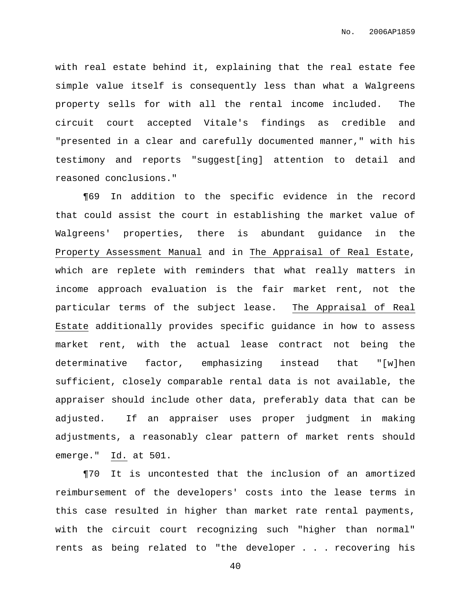with real estate behind it, explaining that the real estate fee simple value itself is consequently less than what a Walgreens property sells for with all the rental income included. The circuit court accepted Vitale's findings as credible and "presented in a clear and carefully documented manner," with his testimony and reports "suggest[ing] attention to detail and reasoned conclusions."

¶69 In addition to the specific evidence in the record that could assist the court in establishing the market value of Walgreens' properties, there is abundant guidance in the Property Assessment Manual and in The Appraisal of Real Estate, which are replete with reminders that what really matters in income approach evaluation is the fair market rent, not the particular terms of the subject lease. The Appraisal of Real Estate additionally provides specific guidance in how to assess market rent, with the actual lease contract not being the determinative factor, emphasizing instead that "[w]hen sufficient, closely comparable rental data is not available, the appraiser should include other data, preferably data that can be adjusted. If an appraiser uses proper judgment in making adjustments, a reasonably clear pattern of market rents should emerge." Id. at 501.

¶70 It is uncontested that the inclusion of an amortized reimbursement of the developers' costs into the lease terms in this case resulted in higher than market rate rental payments, with the circuit court recognizing such "higher than normal" rents as being related to "the developer . . . recovering his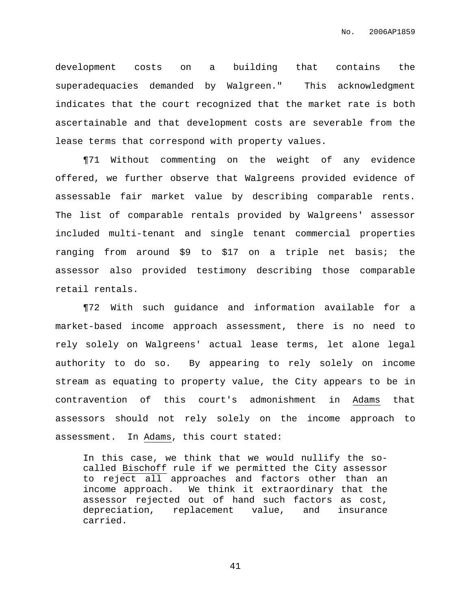development costs on a building that contains the superadequacies demanded by Walgreen." This acknowledgment indicates that the court recognized that the market rate is both ascertainable and that development costs are severable from the lease terms that correspond with property values.

¶71 Without commenting on the weight of any evidence offered, we further observe that Walgreens provided evidence of assessable fair market value by describing comparable rents. The list of comparable rentals provided by Walgreens' assessor included multi-tenant and single tenant commercial properties ranging from around \$9 to \$17 on a triple net basis; the assessor also provided testimony describing those comparable retail rentals.

¶72 With such guidance and information available for a market-based income approach assessment, there is no need to rely solely on Walgreens' actual lease terms, let alone legal authority to do so. By appearing to rely solely on income stream as equating to property value, the City appears to be in contravention of this court's admonishment in Adams that assessors should not rely solely on the income approach to assessment. In Adams, this court stated:

In this case, we think that we would nullify the socalled Bischoff rule if we permitted the City assessor to reject all approaches and factors other than an income approach. We think it extraordinary that the assessor rejected out of hand such factors as cost, depreciation, replacement value, and insurance carried.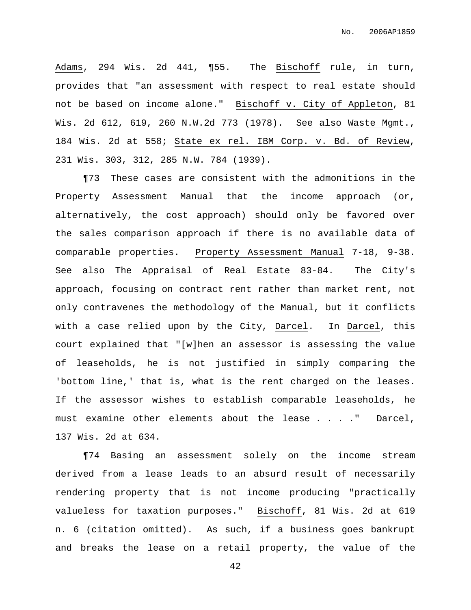Adams, 294 Wis. 2d 441, ¶55. The Bischoff rule, in turn, provides that "an assessment with respect to real estate should not be based on income alone." Bischoff v. City of Appleton, 81 Wis. 2d 612, 619, 260 N.W.2d 773 (1978). See also Waste Mgmt., 184 Wis. 2d at 558; State ex rel. IBM Corp. v. Bd. of Review, 231 Wis. 303, 312, 285 N.W. 784 (1939).

¶73 These cases are consistent with the admonitions in the Property Assessment Manual that the income approach (or, alternatively, the cost approach) should only be favored over the sales comparison approach if there is no available data of comparable properties. Property Assessment Manual 7-18, 9-38. See also The Appraisal of Real Estate 83-84. The City's approach, focusing on contract rent rather than market rent, not only contravenes the methodology of the Manual, but it conflicts with a case relied upon by the City, Darcel. In Darcel, this court explained that "[w]hen an assessor is assessing the value of leaseholds, he is not justified in simply comparing the 'bottom line,' that is, what is the rent charged on the leases. If the assessor wishes to establish comparable leaseholds, he must examine other elements about the lease . . . ." Darcel, 137 Wis. 2d at 634.

¶74 Basing an assessment solely on the income stream derived from a lease leads to an absurd result of necessarily rendering property that is not income producing "practically valueless for taxation purposes." Bischoff, 81 Wis. 2d at 619 n. 6 (citation omitted). As such, if a business goes bankrupt and breaks the lease on a retail property, the value of the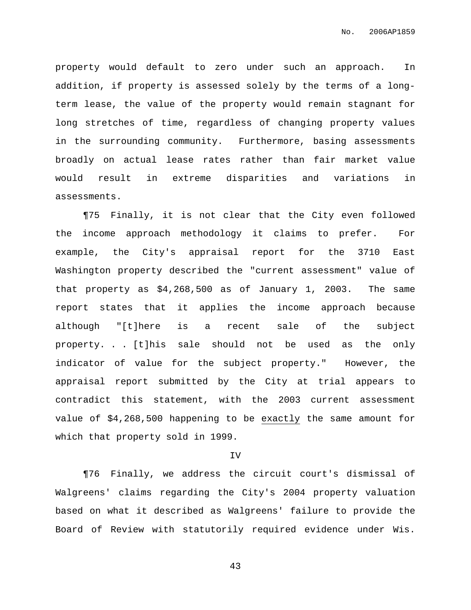property would default to zero under such an approach. In addition, if property is assessed solely by the terms of a longterm lease, the value of the property would remain stagnant for long stretches of time, regardless of changing property values in the surrounding community. Furthermore, basing assessments broadly on actual lease rates rather than fair market value would result in extreme disparities and variations in assessments.

¶75 Finally, it is not clear that the City even followed the income approach methodology it claims to prefer. For example, the City's appraisal report for the 3710 East Washington property described the "current assessment" value of that property as \$4,268,500 as of January 1, 2003. The same report states that it applies the income approach because although "[t]here is a recent sale of the subject property. . . [t]his sale should not be used as the only indicator of value for the subject property." However, the appraisal report submitted by the City at trial appears to contradict this statement, with the 2003 current assessment value of \$4,268,500 happening to be exactly the same amount for which that property sold in 1999.

#### IV

¶76 Finally, we address the circuit court's dismissal of Walgreens' claims regarding the City's 2004 property valuation based on what it described as Walgreens' failure to provide the Board of Review with statutorily required evidence under Wis.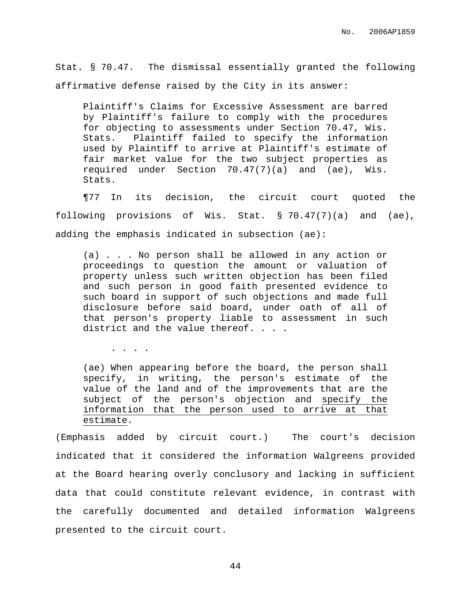Stat. § 70.47. The dismissal essentially granted the following affirmative defense raised by the City in its answer:

Plaintiff's Claims for Excessive Assessment are barred by Plaintiff's failure to comply with the procedures for objecting to assessments under Section 70.47, Wis. Stats. Plaintiff failed to specify the information used by Plaintiff to arrive at Plaintiff's estimate of fair market value for the two subject properties as required under Section 70.47(7)(a) and (ae), Wis. Stats.

¶77 In its decision, the circuit court quoted the following provisions of Wis. Stat. § 70.47(7)(a) and (ae), adding the emphasis indicated in subsection (ae):

(a) . . . No person shall be allowed in any action or proceedings to question the amount or valuation of property unless such written objection has been filed and such person in good faith presented evidence to such board in support of such objections and made full disclosure before said board, under oath of all of that person's property liable to assessment in such district and the value thereof. . . .

. . . .

(ae) When appearing before the board, the person shall specify, in writing, the person's estimate of the value of the land and of the improvements that are the subject of the person's objection and specify the information that the person used to arrive at that estimate.

(Emphasis added by circuit court.) The court's decision indicated that it considered the information Walgreens provided at the Board hearing overly conclusory and lacking in sufficient data that could constitute relevant evidence, in contrast with the carefully documented and detailed information Walgreens presented to the circuit court.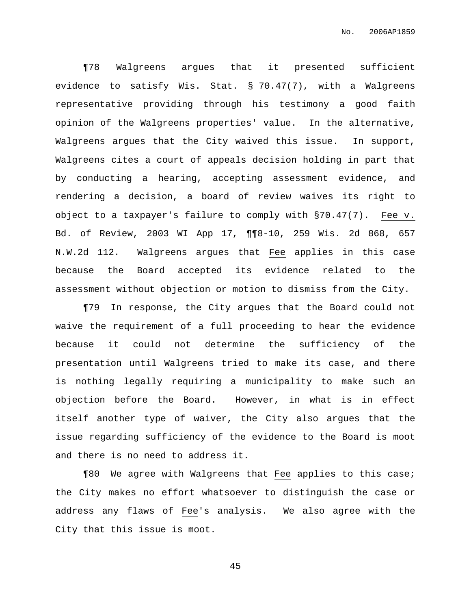¶78 Walgreens argues that it presented sufficient evidence to satisfy Wis. Stat. § 70.47(7), with a Walgreens representative providing through his testimony a good faith opinion of the Walgreens properties' value. In the alternative, Walgreens argues that the City waived this issue. In support, Walgreens cites a court of appeals decision holding in part that by conducting a hearing, accepting assessment evidence, and rendering a decision, a board of review waives its right to object to a taxpayer's failure to comply with §70.47(7). Fee v. Bd. of Review, 2003 WI App 17, ¶¶8-10, 259 Wis. 2d 868, 657 N.W.2d 112. Walgreens argues that Fee applies in this case because the Board accepted its evidence related to the assessment without objection or motion to dismiss from the City.

¶79 In response, the City argues that the Board could not waive the requirement of a full proceeding to hear the evidence because it could not determine the sufficiency of the presentation until Walgreens tried to make its case, and there is nothing legally requiring a municipality to make such an objection before the Board. However, in what is in effect itself another type of waiver, the City also argues that the issue regarding sufficiency of the evidence to the Board is moot and there is no need to address it.

¶80 We agree with Walgreens that Fee applies to this case; the City makes no effort whatsoever to distinguish the case or address any flaws of Fee's analysis. We also agree with the City that this issue is moot.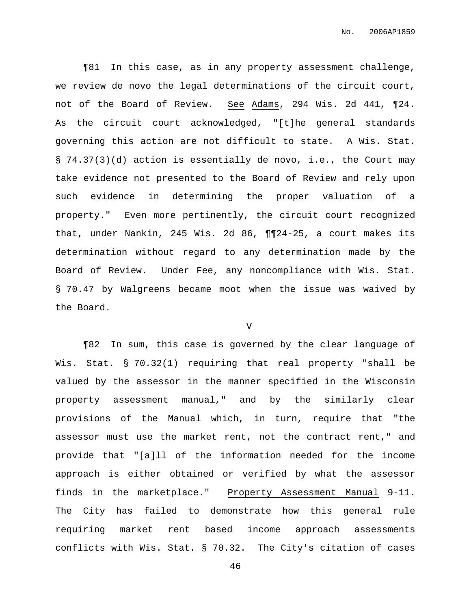¶81 In this case, as in any property assessment challenge, we review de novo the legal determinations of the circuit court, not of the Board of Review. See Adams, 294 Wis. 2d 441, ¶24. As the circuit court acknowledged, "[t]he general standards governing this action are not difficult to state. A Wis. Stat. § 74.37(3)(d) action is essentially de novo, i.e., the Court may take evidence not presented to the Board of Review and rely upon such evidence in determining the proper valuation of a property." Even more pertinently, the circuit court recognized that, under Nankin, 245 Wis. 2d 86, ¶¶24-25, a court makes its determination without regard to any determination made by the Board of Review. Under Fee, any noncompliance with Wis. Stat. § 70.47 by Walgreens became moot when the issue was waived by the Board.

V

¶82 In sum, this case is governed by the clear language of Wis. Stat. § 70.32(1) requiring that real property "shall be valued by the assessor in the manner specified in the Wisconsin property assessment manual," and by the similarly clear provisions of the Manual which, in turn, require that "the assessor must use the market rent, not the contract rent," and provide that "[a]ll of the information needed for the income approach is either obtained or verified by what the assessor finds in the marketplace." Property Assessment Manual 9-11. The City has failed to demonstrate how this general rule requiring market rent based income approach assessments conflicts with Wis. Stat. § 70.32. The City's citation of cases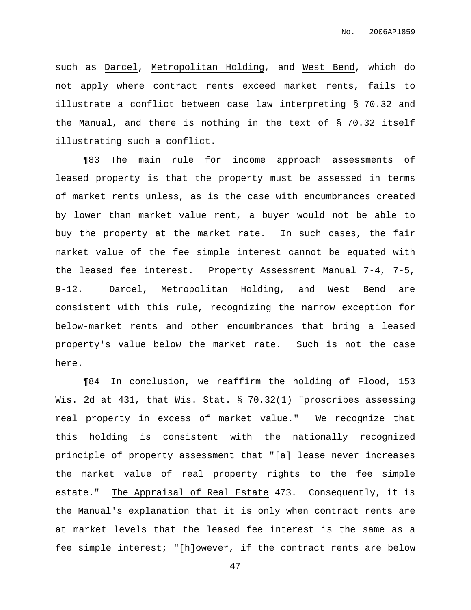such as Darcel, Metropolitan Holding, and West Bend, which do not apply where contract rents exceed market rents, fails to illustrate a conflict between case law interpreting § 70.32 and the Manual, and there is nothing in the text of § 70.32 itself illustrating such a conflict.

¶83 The main rule for income approach assessments of leased property is that the property must be assessed in terms of market rents unless, as is the case with encumbrances created by lower than market value rent, a buyer would not be able to buy the property at the market rate. In such cases, the fair market value of the fee simple interest cannot be equated with the leased fee interest. Property Assessment Manual 7-4, 7-5, 9-12. Darcel, Metropolitan Holding, and West Bend are consistent with this rule, recognizing the narrow exception for below-market rents and other encumbrances that bring a leased property's value below the market rate. Such is not the case here.

¶84 In conclusion, we reaffirm the holding of Flood, 153 Wis. 2d at 431, that Wis. Stat. § 70.32(1) "proscribes assessing real property in excess of market value." We recognize that this holding is consistent with the nationally recognized principle of property assessment that "[a] lease never increases the market value of real property rights to the fee simple estate." The Appraisal of Real Estate 473. Consequently, it is the Manual's explanation that it is only when contract rents are at market levels that the leased fee interest is the same as a fee simple interest; "[h]owever, if the contract rents are below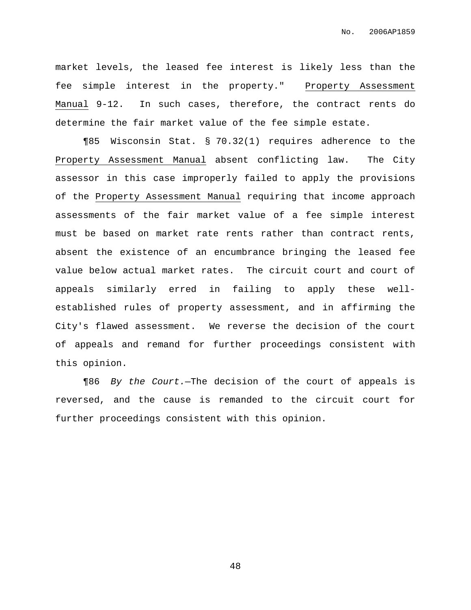market levels, the leased fee interest is likely less than the fee simple interest in the property." Property Assessment Manual 9-12. In such cases, therefore, the contract rents do determine the fair market value of the fee simple estate.

¶85 Wisconsin Stat. § 70.32(1) requires adherence to the Property Assessment Manual absent conflicting law. The City assessor in this case improperly failed to apply the provisions of the Property Assessment Manual requiring that income approach assessments of the fair market value of a fee simple interest must be based on market rate rents rather than contract rents, absent the existence of an encumbrance bringing the leased fee value below actual market rates. The circuit court and court of appeals similarly erred in failing to apply these wellestablished rules of property assessment, and in affirming the City's flawed assessment. We reverse the decision of the court of appeals and remand for further proceedings consistent with this opinion.

¶86 By the Court.—The decision of the court of appeals is reversed, and the cause is remanded to the circuit court for further proceedings consistent with this opinion.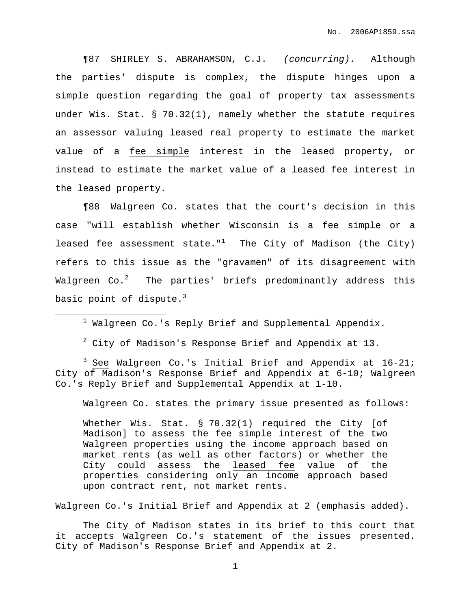¶87 SHIRLEY S. ABRAHAMSON, C.J. (concurring). Although the parties' dispute is complex, the dispute hinges upon a simple question regarding the goal of property tax assessments under Wis. Stat. § 70.32(1), namely whether the statute requires an assessor valuing leased real property to estimate the market value of a fee simple interest in the leased property, or instead to estimate the market value of a leased fee interest in the leased property.

¶88 Walgreen Co. states that the court's decision in this case "will establish whether Wisconsin is a fee simple or a leased fee assessment state." $1$  The City of Madison (the City) refers to this issue as the "gravamen" of its disagreement with Walgreen Co. $^2$  – The parties' briefs predominantly address this basic point of dispute. $^3$ 

 $1$  Walgreen Co.'s Reply Brief and Supplemental Appendix.

 $2$  City of Madison's Response Brief and Appendix at 13.

 $3$  See Walgreen Co.'s Initial Brief and Appendix at 16-21; City of Madison's Response Brief and Appendix at 6-10; Walgreen Co.'s Reply Brief and Supplemental Appendix at 1-10.

Walgreen Co. states the primary issue presented as follows:

Whether Wis. Stat. § 70.32(1) required the City [of Madison] to assess the fee simple interest of the two Walgreen properties using the income approach based on market rents (as well as other factors) or whether the City could assess the leased fee value of the properties considering only an income approach based upon contract rent, not market rents.

Walgreen Co.'s Initial Brief and Appendix at 2 (emphasis added).

The City of Madison states in its brief to this court that it accepts Walgreen Co.'s statement of the issues presented. City of Madison's Response Brief and Appendix at 2.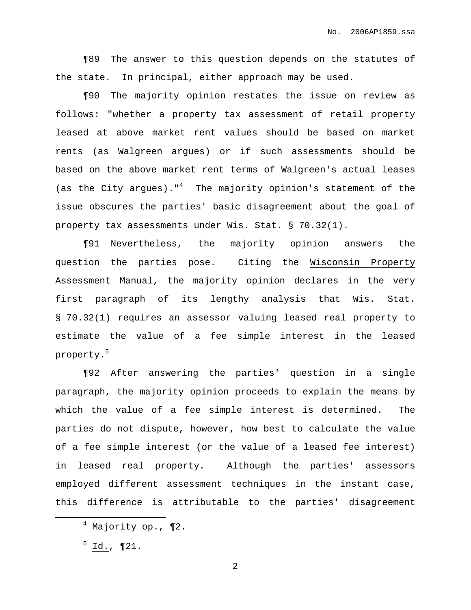¶89 The answer to this question depends on the statutes of the state. In principal, either approach may be used.

¶90 The majority opinion restates the issue on review as follows: "whether a property tax assessment of retail property leased at above market rent values should be based on market rents (as Walgreen argues) or if such assessments should be based on the above market rent terms of Walgreen's actual leases (as the City argues)." <sup>4</sup> The majority opinion's statement of the issue obscures the parties' basic disagreement about the goal of property tax assessments under Wis. Stat. § 70.32(1).

¶91 Nevertheless, the majority opinion answers the question the parties pose. Citing the Wisconsin Property Assessment Manual, the majority opinion declares in the very first paragraph of its lengthy analysis that Wis. Stat. § 70.32(1) requires an assessor valuing leased real property to estimate the value of a fee simple interest in the leased property. 5

¶92 After answering the parties' question in a single paragraph, the majority opinion proceeds to explain the means by which the value of a fee simple interest is determined. The parties do not dispute, however, how best to calculate the value of a fee simple interest (or the value of a leased fee interest) in leased real property. Although the parties' assessors employed different assessment techniques in the instant case, this difference is attributable to the parties' disagreement

 $4$  Majority op., ¶2.

 $5$  Id., ¶21.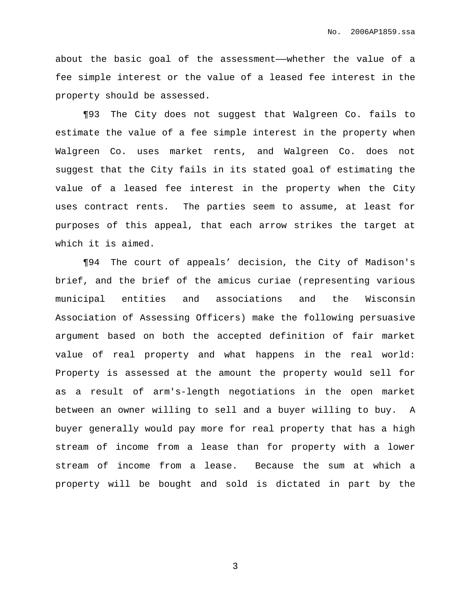about the basic goal of the assessment——whether the value of a fee simple interest or the value of a leased fee interest in the property should be assessed.

¶93 The City does not suggest that Walgreen Co. fails to estimate the value of a fee simple interest in the property when Walgreen Co. uses market rents, and Walgreen Co. does not suggest that the City fails in its stated goal of estimating the value of a leased fee interest in the property when the City uses contract rents. The parties seem to assume, at least for purposes of this appeal, that each arrow strikes the target at which it is aimed.

¶94 The court of appeals' decision, the City of Madison's brief, and the brief of the amicus curiae (representing various municipal entities and associations and the Wisconsin Association of Assessing Officers) make the following persuasive argument based on both the accepted definition of fair market value of real property and what happens in the real world: Property is assessed at the amount the property would sell for as a result of arm's-length negotiations in the open market between an owner willing to sell and a buyer willing to buy. A buyer generally would pay more for real property that has a high stream of income from a lease than for property with a lower stream of income from a lease. Because the sum at which a property will be bought and sold is dictated in part by the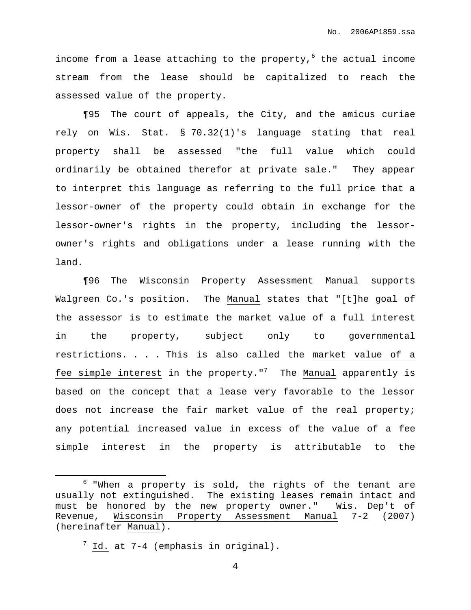income from a lease attaching to the property, <sup>6</sup> the actual income stream from the lease should be capitalized to reach the assessed value of the property.

¶95 The court of appeals, the City, and the amicus curiae rely on Wis. Stat. § 70.32(1)'s language stating that real property shall be assessed "the full value which could ordinarily be obtained therefor at private sale." They appear to interpret this language as referring to the full price that a lessor-owner of the property could obtain in exchange for the lessor-owner's rights in the property, including the lessorowner's rights and obligations under a lease running with the land.

¶96 The Wisconsin Property Assessment Manual supports Walgreen Co.'s position. The Manual states that "[t]he goal of the assessor is to estimate the market value of a full interest in the property, subject only to governmental restrictions. . . . This is also called the market value of a fee simple interest in the property." $7\,$  The Manual apparently is based on the concept that a lease very favorable to the lessor does not increase the fair market value of the real property; any potential increased value in excess of the value of a fee simple interest in the property is attributable to the

 $6$  "When a property is sold, the rights of the tenant are usually not extinguished. The existing leases remain intact and must be honored by the new property owner." Wis. Dep't of Revenue, Wisconsin Property Assessment Manual 7-2 (2007) (hereinafter Manual).

 $7$  Id. at  $7-4$  (emphasis in original).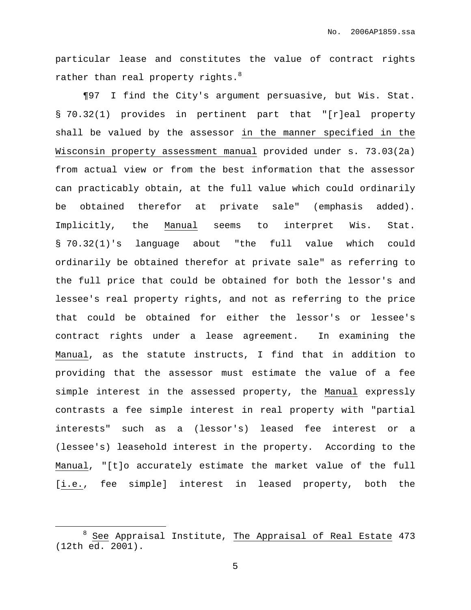particular lease and constitutes the value of contract rights rather than real property rights. $^8$ 

¶97 I find the City's argument persuasive, but Wis. Stat. § 70.32(1) provides in pertinent part that "[r]eal property shall be valued by the assessor in the manner specified in the Wisconsin property assessment manual provided under s. 73.03(2a) from actual view or from the best information that the assessor can practicably obtain, at the full value which could ordinarily be obtained therefor at private sale" (emphasis added). Implicitly, the Manual seems to interpret Wis. Stat. § 70.32(1)'s language about "the full value which could ordinarily be obtained therefor at private sale" as referring to the full price that could be obtained for both the lessor's and lessee's real property rights, and not as referring to the price that could be obtained for either the lessor's or lessee's contract rights under a lease agreement. In examining the Manual, as the statute instructs, I find that in addition to providing that the assessor must estimate the value of a fee simple interest in the assessed property, the Manual expressly contrasts a fee simple interest in real property with "partial interests" such as a (lessor's) leased fee interest or a (lessee's) leasehold interest in the property. According to the Manual, "[t]o accurately estimate the market value of the full [i.e., fee simple] interest in leased property, both the

<sup>8</sup> See Appraisal Institute, The Appraisal of Real Estate 473 (12th ed. 2001).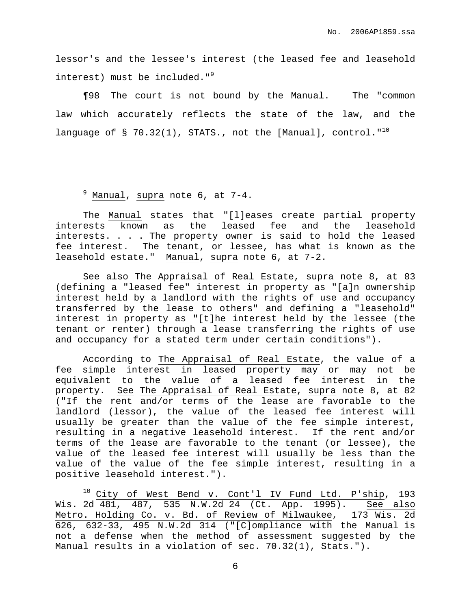lessor's and the lessee's interest (the leased fee and leasehold interest) must be included."<sup>9</sup>

¶98 The court is not bound by the Manual. The "common law which accurately reflects the state of the law, and the language of § 70.32(1), STATS., not the [Manual], control." $^{10}$ 

The Manual states that "[l]eases create partial property interests known as the leased fee and the leasehold interests. . . . The property owner is said to hold the leased fee interest. The tenant, or lessee, has what is known as the leasehold estate." Manual, supra note 6, at 7-2.

See also The Appraisal of Real Estate, supra note 8, at 83 (defining a "leased fee" interest in property as "[a]n ownership interest held by a landlord with the rights of use and occupancy transferred by the lease to others" and defining a "leasehold" interest in property as "[t]he interest held by the lessee (the tenant or renter) through a lease transferring the rights of use and occupancy for a stated term under certain conditions").

According to The Appraisal of Real Estate, the value of a fee simple interest in leased property may or may not be equivalent to the value of a leased fee interest in the property. See The Appraisal of Real Estate, supra note 8, at 82 ("If the rent and/or terms of the lease are favorable to the landlord (lessor), the value of the leased fee interest will usually be greater than the value of the fee simple interest, resulting in a negative leasehold interest. If the rent and/or terms of the lease are favorable to the tenant (or lessee), the value of the leased fee interest will usually be less than the value of the value of the fee simple interest, resulting in a positive leasehold interest.").

<sup>10</sup> City of West Bend v. Cont'l IV Fund Ltd. P'ship, 193 Wis. 2d 481, 487, 535 N.W.2d 24 (Ct. App. 1995). See also Metro. Holding Co. v. Bd. of Review of Milwaukee, 173 Wis. 2d  $\overline{626}$ ,  $\overline{632-33}$ ,  $\overline{495}$  N.W.2d 314 ("[C]ompliance with the Manual is not a defense when the method of assessment suggested by the Manual results in a violation of sec. 70.32(1), Stats.").

 $9$  Manual, supra note 6, at 7-4.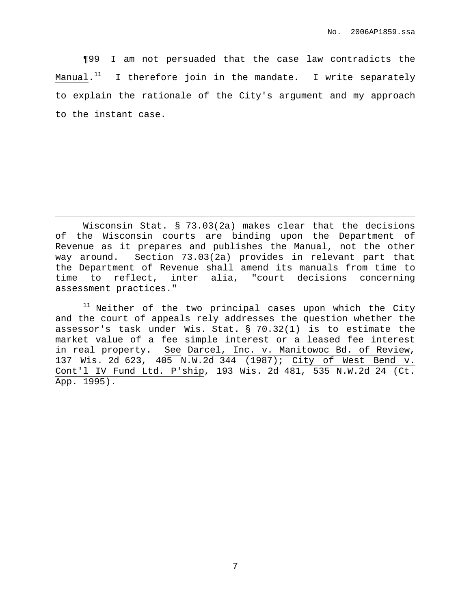¶99 I am not persuaded that the case law contradicts the Manual. $^{\rm 11}$  I therefore join in the mandate. I write separately to explain the rationale of the City's argument and my approach to the instant case.

 $11$  Neither of the two principal cases upon which the City and the court of appeals rely addresses the question whether the assessor's task under Wis. Stat. § 70.32(1) is to estimate the market value of a fee simple interest or a leased fee interest in real property. See Darcel, Inc. v. Manitowoc Bd. of Review, 137 Wis. 2d 623, 405 N.W.2d 344 (1987); City of West Bend v. Cont'l IV Fund Ltd. P'ship, 193 Wis. 2d 481, 535 N.W.2d 24 (Ct. App. 1995).

Wisconsin Stat. § 73.03(2a) makes clear that the decisions of the Wisconsin courts are binding upon the Department of Revenue as it prepares and publishes the Manual, not the other way around. Section 73.03(2a) provides in relevant part that the Department of Revenue shall amend its manuals from time to time to reflect, inter alia, "court decisions concerning assessment practices."